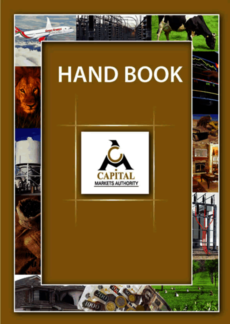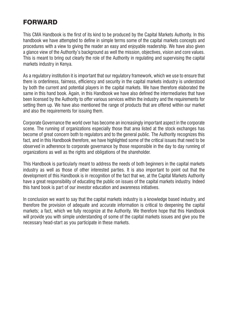# FORWARD

This CMA Handbook is the first of its kind to be produced by the Capital Markets Authority. In this handbook we have attempted to define in simple terms some of the capital markets concepts and procedures with a view to giving the reader an easy and enjoyable readership. We have also given a glance view of the Authority's background as well the mission, objectives, vision and core values. This is meant to bring out clearly the role of the Authority in regulating and supervising the capital markets industry in Kenya.

As a regulatory institution it is important that our regulatory framework, which we use to ensure that there is orderliness, fairness, efficiency and security in the capital markets industry is understood by both the current and potential players in the capital markets. We have therefore elaborated the same in this hand book. Again, in this Handbook we have also defined the intermediaries that have been licensed by the Authority to offer various services within the industry and the requirements for setting them up. We have also mentioned the range of products that are offered within our market and also the requirements for issuing them.

Corporate Governance the world over has become an increasingly important aspect in the corporate scene. The running of organizations especially those that area listed at the stock exchanges has become of great concern both to regulators and to the general public. The Authority recognizes this fact, and in this Handbook therefore, we have highlighted some of the critical issues that need to be observed in adherence to corporate governance by those responsible in the day to day running of organizations as well as the rights and obligations of the shareholder.

This Handbook is particularly meant to address the needs of both beginners in the capital markets industry as well as those of other interested parties. It is also important to point out that the development of this Handbook is in recognition of the fact that we, at the Capital Markets Authority have a great responsibility of educating the public on issues of the capital markets industry. Indeed this hand book is part of our investor education and awareness initiatives.

In conclusion we want to say that the capital markets industry is a knowledge based industry, and therefore the provision of adequate and accurate information is critical to deepening the capital markets; a fact, which we fully recognize at the Authority. We therefore hope that this Handbook will provide you with simple understanding of some of the capital markets issues and give you the necessary head-start as you participate in these markets.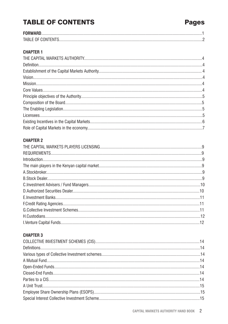# **TABLE OF CONTENTS**

| TABLE OF CONTENTS |  |
|-------------------|--|

### **CHAPTER 1**

### **CHAPTER 2**

### **CHAPTER 3**

# **Pages**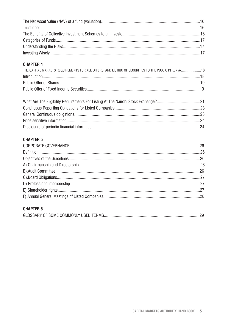### **CHAPTER 4**

| THE CAPITAL MARKETS REQUIREMENTS FOR ALL OFFERS. AND LISTING OF SECURITIES TO THE PUBLIC IN KENYA  18 |  |
|-------------------------------------------------------------------------------------------------------|--|
|                                                                                                       |  |
|                                                                                                       |  |
|                                                                                                       |  |

### **CHAPTER 5**

### **CHAPTER 6**

|--|--|--|--|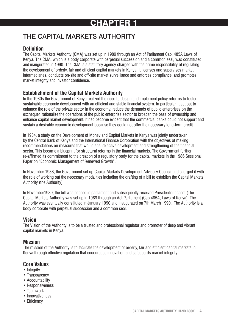# CHAPTER 1

# THE CAPITAL MARKETS AUTHORITY

### **Definition**

The Capital Markets Authority (CMA) was set up in 1989 through an Act of Parliament Cap. 485A Laws of Kenya. The CMA, which is a body corporate with perpetual succession and a common seal, was constituted and inaugurated in 1990. The CMA is a statutory agency charged with the prime responsibility of regulating the development of orderly, fair and efficient capital markets in Kenya. It licenses and supervises market intermediaries, conducts on-site and off-site market surveillance and enforces compliance, and promotes market integrity and investor confidence.

### **Establishment of the Capital Markets Authority**

In the 1980s the Government of Kenya realized the need to design and implement policy reforms to foster sustainable economic development with an efficient and stable financial system. In particular, it set out to enhance the role of the private sector in the economy, reduce the demands of public enterprises on the exchequer, rationalize the operations of the public enterprise sector to broaden the base of ownership and enhance capital market development. It had become evident that the commercial banks could not support and sustain a desirable economic development because they could not offer the necessary long-term credit.

In 1984, a study on the Development of Money and Capital Markets in Kenya was jointly undertaken by the Central Bank of Kenya and the International Finance Corporation with the objectives of making recommendations on measures that would ensure active development and strengthening of the financial sector. This became a blueprint for structural reforms in the financial markets. The Government further re-affirmed its commitment to the creation of a regulatory body for the capital markets in the 1986 Sessional Paper on "Economic Management of Renewed Growth".

In November 1988, the Government set up Capital Markets Development Advisory Council and charged it with the role of working out the necessary modalities including the drafting of a bill to establish the Capital Markets Authority (the Authority).

In November1989, the bill was passed in parliament and subsequently received Presidential assent (The Capital Markets Authority was set up in 1989 through an Act Parliament (Cap 485A, Laws of Kenya). The Authority was eventually constituted in January 1990 and inaugurated on 7th March 1990. The Authority is a body corporate with perpetual succession and a common seal.

### **Vision**

The Vision of the Authority is to be a trusted and professional regulator and promoter of deep and vibrant capital markets in Kenya.

### **Mission**

The mission of the Authority is to facilitate the development of orderly, fair and efficient capital markets in Kenya through effective regulation that encourages innovation and safeguards market integrity.

### **Core Values**

- Integrity
- Transparency
- Accountability
- Responsiveness
- Teamwork
- Innovativeness
- Efficiency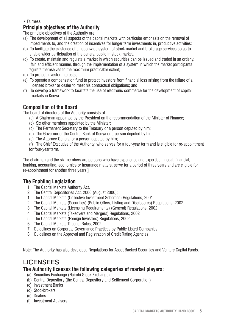#### • Fairness

### **Principle objectives of the Authority**

The principle objectives of the Authority are:

- (a) The development of all aspects of the capital markets with particular emphasis on the removal of impediments to, and the creation of incentives for longer term investments in, productive activities;
- (b) To facilitate the existence of a nationwide system of stock market and brokerage services so as to enable wider participation of the general public in stock market.
- (c) To create, maintain and regulate a market in which securities can be issued and traded in an orderly, fair, and efficient manner, through the implementation of a system in which the market participants regulate themselves to the maximum practicable extent;
- (d) To protect investor interests;
- (e) To operate a compensation fund to protect investors from financial loss arising from the failure of a licensed broker or dealer to meet his contractual obligations; and
- (f) To develop a framework to facilitate the use of electronic commerce for the development of capital markets in Kenya.

### **Composition of the Board**

The board of directors of the Authority consists of -

- (a) A Chairman appointed by the President on the recommendation of the Minister of Finance;
- (b) Six other members appointed by the Minister;
- (c) The Permanent Secretary to the Treasury or a person deputed by him;
- (d) The Governor of the Central Bank of Kenya or a person deputed by him;
- (e) The Attorney General or a person deputed by him;

(f) The Chief Executive of the Authority, who serves for a four-year term and is eligible for re-appointment for four-year term.

The chairman and the six members are persons who have experience and expertise in legal, financial, banking, accounting, economics or insurance matters, serve for a period of three years and are eligible for re-appointment for another three years.]

### **The Enabling Legislation**

- 1. The Capital Markets Authority Act,
- 2. The Central Depositories Act, 2000 (August 2000);
- 1. The Capital Markets (Collective Investment Schemes) Regulations, 2001
- 2. The Capital Markets (Securities) (Public Offers, Listing and Disclosures) Regulations, 2002
- 3. The Capital Markets (Licensing Requirements) (General) Regulations, 2002
- 4. The Capital Markets (Takeovers and Mergers) Regulations, 2002
- 5. The Capital Markets (Foreign Investors) Regulations, 2002
- 6. The Capital Markets Tribunal Rules, 2002
- 7. Guidelines on Corporate Governance Practices by Public Listed Companies
- 8. Guidelines on the Approval and Registration of Credit Rating Agencies

Note: The Authority has also developed Regulations for Asset Backed Securities and Venture Capital Funds.

# **LICENSEES**

### **The Authority licenses the following categories of market players:**

- (a) Securities Exchange (Nairobi Stock Exchange)
- (b) Central Depository (the Central Depository and Settlement Corporation)
- (c) Investment Banks
- (d) Stockbrokers
- (e) Dealers
- (f) Investment Advisers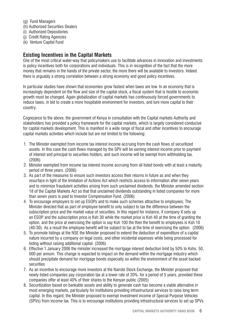- (g) Fund Managers
- (h) Authorized Securities Dealers
- (i) Authorized Depositories
- (j) Credit Rating Agencies
- (k) Venture Capital Fund

### **Existing Incentives in the Capital Markets**

One of the most critical water-way that policymakers use to facilitate advances in innovation and investments is policy incentives both for corporations and individuals. This is in recognition of the fact that the more money that remains in the hands of the private sector, the more there will be available to investors. Indeed there is arguably a strong correlation between a strong economy and good policy incentives.

In particular studies have shown that economies grow fastest when taxes are low. In an economy that is increasingly dependent on the flow and size of the capital stock, a fiscal system that is hostile to economic growth must be changed. Again globalization of capital markets has continuously forced governments to reduce taxes, in bid to create a more hospitable environment for investors, and lure more capital to their country.

Cognizance to the above, the government of Kenya in consultation with the Capital markets Authority and stakeholders has provided a policy framework for the capital markets, which is largely considered conducive for capital markets development. This is manifest in a wide range of fiscal and other incentives to encourage capital markets activities which include but are not limited to the following:

- 1. The Minister exempted from income tax interest income accruing from the cash flows of securitized assets. In this case the cash flows managed by the SPV will be earning interest income prior to payment of interest and principal to securities holders, and such income will be exempt from withholding tax. (2006)
- 2. Minister exempted from income tax interest income accruing from all listed bonds with at least a maturity period of three years. (2006)
- 3. As part of the measures to ensure such investors access their returns in future as and when they resurface in light of the limitation of Actions Act which restricts access to information after seven years and to minimize fraudulent activities arising from such unclaimed dividends, the Minister amended section 18 of the Capital Markets Act so that that unclaimed dividends outstanding in listed companies for more than seven years is paid to Investor Compensation Fund. (2006)
- 4. To encourage employers to set up ESOPs and to make such schemes attractive to employees; The Minister directed that as part of employee benefit to only subject to tax the difference between the subscription price and the market value of securities. In this regard for instance, if company X sets up an ESOP and the subscription price is Ksh 30 while the market price is Ksh 40 at the time of granting the option, and the price at exercising the option is say Ksh 100 the then the benefit to employees is Ksh 10 (40-30). As a result the employee benefit will be subject to tax at the time of exercising the option. (2006)
- 5. To promote listings at the NSE the Minister proposed to extend the deduction of expenditure of a capital nature incurred by a company on legal costs, and other incidental expenses while being processed for listing without raising additional capital. (2006)
- 6. Effective 1 January 2006 the minister increased the mortgage interest deduction limit by 50% to Kshs. 50, 000 per annum. This change is expected to impact on the demand within the mortgage industry which should precipitate demand for mortgage bonds especially so within the environment of the asset backed securities
- 7. As an incentive to encourage more investors at the Nairobi Stock Exchange, the Minister proposed that newly listed companies pay corporation tax at a lower rate of 20%, for a period of 5 years, provided these companies offer at least 40% of their shares to the Kenyan public (2005)
- 8. Securitization based on bankable assets and ability to generate cash has become a viable alternative in most emerging markets, particularly for institutions providing infrastructural services to raise long term capital. In this regard, the Minister proposed to exempt investment income of Special Purpose Vehicles (SPVs) from income tax. This is to encourage institutions providing infrastructural services to set up SPVs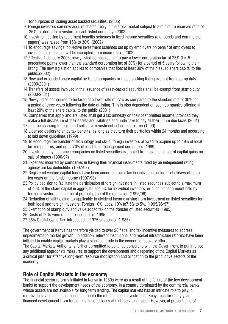for purposes of issuing asset backed securities. (2005)

- 9. Foreign investors can now acquire shares freely in the stock market subject to a minimum reserved ratio of 25% for domestic investors in each listed company. (2002)
- 10.Investment ceiling by retirement benefits schemes in fixed income securities (e.g. bonds and commercial papers) was raised from 15% to 30%. (2002)
- 11.To encourage savings, collective investment schemes set up by employers on behalf of employees to invest in listed shares, will be exempted from income tax. (2002)
- 12.Effective 1 January 2003, newly listed companies are to pay a lower corporation tax of 25% (i.e. 5 percentage points lower than the standard corporation tax of 30%) for a period of 5 years following their listing. The new legislation applies to companies that float at least 30% of their issued share capital to the public.(2002)
- 13.New and expanded share capital by listed companies or those seeking listing exempt from stamp duty (2000/2001)
- 14.Transfers of assets involved in the issuance of asset-backed securities shall be exempt from stamp duty (2000/2001)
- 15.Newly listed companies to be taxed at a lower rate of 27% as compared to the standard rate of 30% for a period of three years following the date of listing. This is also dependent on such companies offering at least 20% of the share capital to the public (2001)
- 16.Companies that apply and are listed shall get a tax amnesty on their past omitted income, provided they make a full disclosure of their assets and liabilities and undertake to pay all their future due taxes (2001)
- 17.Income accruing to registered collective investment schemes tax-free (1999)
- 18.Licensed dealers to enjoy tax benefits, as long as they turn their portfolios within 24 months and according to laid down guidelines (1999)
- 19.To encourage the transfer of technology and skills, foreign investors allowed to acquire up to 49% of local brokerage firms; and up to 70% of local fund management companies (1999)
- 20.Investments by Insurance companies on listed securities exempted from tax arising out of capital gains on sale of shares (1996/97)
- 21.Expenses incurred by companies in having their financial instruments rated by an independent rating agency are tax deductible. (1997/98)
- 22.Registered venture capital funds have been accorded major tax incentives including tax holidays of up to ten years on the funds income (1997/98)
- 23.Policy decision to facilitate the participation of foreign investors in listed securities subject to a maximum of 40% of the share capital in aggregate and 5% for individual investors, or such higher amount held by foreign investors at the time of promulgation of the regulation (1995/96)
- 24.Reduction of withholding tax applicable to dividend income arising from investment on listed securities for both local and foreign investors. Foreign  $10\%$ ; Local  $10\%$  to  $7.5\%$  to  $5\%$ .  $(1995/96/97)$
- 25.Exemption of stamp duty and value added tax on the transfer of listed securities (1995)
- 26.Costs of IPOs were made tax deductible (1995)
- 27.35% Capital Gains Tax introduced in 1975 suspended (1985)

The government of Kenya has therefore yielded to over 20 fiscal and tax incentive measures to address impediments to market growth. In addition, relevant institutional and market infrastructure reforms have been initiated to enable capital markets play a significant role in the economic recovery effort.

The Capital Markets Authority is further committed to continue consulting with the Government to put in place any additional appropriate measures to support the development and deepening of the Capital Markets as a critical pillar for effective long-term resource mobilization and allocation to the productive sectors of the economy.

### **Role of Capital Markets in the economy**

The financial sector reforms initiated in Kenya in 1980s were as a result of the failure of the few development banks to support the development needs of the economy, in a country dominated by the commercial banks whose assets are not available for long term lending. The capital markets has an intricate role to play in mobilizing savings and channeling them into the most efficient investments. Kenya has for many years financed development from foreign institutional loans at high servicing rates. However, at present time of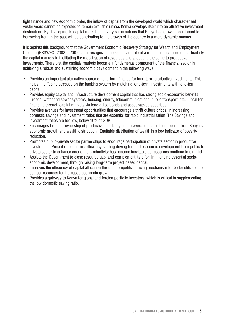tight finance and new economic order, the inflow of capital from the developed world which characterized yester years cannot be expected to remain available unless Kenya develops itself into an attractive investment destination. By developing its capital markets, the very same nations that Kenya has grown accustomed to borrowing from in the past will be contributing to the growth of the country in a more dynamic manner.

It is against this background that the Government Economic Recovery Strategy for Wealth and Employment Creation (ERSWEC) 2003 – 2007 paper recognizes the significant role of a robust financial sector, particularly the capital markets in facilitating the mobilization of resources and allocating the same to productive investments. Therefore, the capitals markets become a fundamental component of the financial sector in achieving a robust and sustaining economic development in the following ways:

- Provides an important alternative source of long-term finance for long-term productive investments. This helps in diffusing stresses on the banking system by matching long-term investments with long-term capital.
- Provides equity capital and infrastructure development capital that has strong socio-economic benefits - roads, water and sewer systems, housing, energy, telecommunications, public transport, etc. - ideal for financing through capital markets via long dated bonds and asset backed securities.
- Provides avenues for investment opportunities that encourage a thrift culture critical in increasing domestic savings and investment ratios that are essential for rapid industrialization. The Savings and investment ratios are too low, below 10% of GDP.
- Encourages broader ownership of productive assets by small savers to enable them benefit from Kenya's economic growth and wealth distribution. Equitable distribution of wealth is a key indicator of poverty reduction.
- Promotes public-private sector partnerships to encourage participation of private sector in productive investments. Pursuit of economic efficiency shifting driving force of economic development from public to private sector to enhance economic productivity has become inevitable as resources continue to diminish.
- Assists the Government to close resource gap, and complement its effort in financing essential socioeconomic development, through raising long-term project based capital.
- Improves the efficiency of capital allocation through competitive pricing mechanism for better utilization of scarce resources for increased economic growth.
- Provides a gateway to Kenya for global and foreign portfolio investors, which is critical in supplementing the low domestic saving ratio.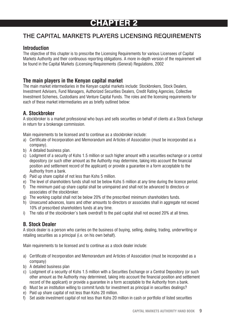# CHAPTER 2

# THE CAPITAL MARKETS PLAYERS LICENSING REQUIREMENTS

### **Introduction**

The objective of this chapter is to prescribe the Licensing Requirements for various Licensees of Capital Markets Authority and their continuous reporting obligations. A more in-depth version of the requirement will be found in the Capital Markets (Licensing Requirements (General) Regulations, 2002

### **The main players in the Kenyan capital market**

The main market intermediaries in the Kenyan capital markets include: Stockbrokers, Stock Dealers, Investment Advisers, Fund Managers, Authorized Securities Dealers, Credit Rating Agencies, Collective Investment Schemes, Custodians and Venture Capital Funds. The roles and the licensing requirements for each of these market intermediaries are as briefly outlined below:

### **A. Stockbroker**

A stockbroker is a market professional who buys and sells securities on behalf of clients at a Stock Exchange in return for a brokerage commission.

Main requirements to be licensed and to continue as a stockbroker include:

- a) Certificate of Incorporation and Memorandum and Articles of Association (must be incorporated as a company).
- b) A detailed business plan.
- c) Lodgment of a security of Kshs 1.5 million or such higher amount with a securities exchange or a central depository (or such other amount as the Authority may determine, taking into account the financial position and settlement record of the applicant) or provide a guarantee in a form acceptable to the Authority from a bank.
- d) Paid up share capital of not less than Kshs 5 million.
- e) The level of shareholders funds shall not be below Kshs 5 million at any time during the licence period.
- f) The minimum paid up share capital shall be unimpaired and shall not be advanced to directors or associates of the stockbroker.
- g) The working capital shall not be below 20% of the prescribed minimum shareholders funds.
- h) Unsecured advances, loans and other amounts to directors or associates shall in aggregate not exceed 10% of prescribed shareholders funds at any time.
- i) The ratio of the stockbroker's bank overdraft to the paid capital shall not exceed 20% at all times.

### **B. Stock Dealer**

A stock dealer is a person who carries on the business of buying, selling, dealing, trading, underwriting or retailing securities as a principal (i.e. on his own behalf).

Main requirements to be licensed and to continue as a stock dealer include:

- a) Certificate of Incorporation and Memorandum and Articles of Association (must be incorporated as a company)
- b) A detailed business plan
- c) Lodgment of a security of Kshs 1.5 million with a Securities Exchange or a Central Depository (or such other amount as the Authority may determined, taking into account the financial position and settlement record of the applicant) or provide a guarantee in a form acceptable to the Authority from a bank.
- d) Must be an institution willing to commit funds for investment as principal in securities dealings?
- e) Paid up share capital of not less than Kshs 20 million.
- f) Set aside investment capital of not less than Kshs 20 million in cash or portfolio of listed securities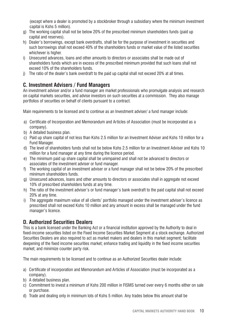(except where a dealer is promoted by a stockbroker through a subsidiary where the minimum investment capital is Kshs 5 million).

- g) The working capital shall not be below 20% of the prescribed minimum shareholders funds (paid up capital and reserves).
- h) Dealer's borrowings, except bank overdrafts, shall be for the purpose of investment in securities and such borrowings shall not exceed 40% of the shareholders funds or market value of the listed securities whichever is higher.
- i) Unsecured advances, loans and other amounts to directors or associates shall be made out of shareholders funds which are in excess of the prescribed minimum provided that such loans shall not exceed 10% of the shareholders funds.
- j) The ratio of the dealer's bank overdraft to the paid up capital shall not exceed 20% at all times.

## **C. Investment Advisers / Fund Managers**

An investment adviser and/or a fund manager are market professionals who promulgate analysis and research on capital markets securities, and advise investors on such securities at a commission. They also manage portfolios of securities on behalf of clients pursuant to a contract.

Main requirements to be licensed and to continue as an Investment adviser/ a fund manager include:

- a) Certificate of Incorporation and Memorandum and Articles of Association (must be incorporated as a company).
- b) A detailed business plan.
- c) Paid up share capital of not less than Kshs 2.5 million for an Investment Adviser and Kshs 10 million for a Fund Manager.
- d) The level of shareholders funds shall not be below Kshs 2.5 million for an Investment Adviser and Kshs 10 million for a fund manager at any time during the licence period.
- e) The minimum paid up share capital shall be unimpaired and shall not be advanced to directors or associates of the investment adviser or fund manager.
- f) The working capital of an investment adviser or a fund manager shall not be below 20% of the prescribed minimum shareholders funds.
- g) Unsecured advances, loans and other amounts to directors or associates shall in aggregate not exceed 10% of prescribed shareholders funds at any time.
- h) The ratio of the investment adviser's or fund manager's bank overdraft to the paid capital shall not exceed 20% at any time.
- i) The aggregate maximum value of all clients' portfolio managed under the investment adviser's licence as prescribed shall not exceed Kshs 10 million and any amount in excess shall be managed under the fund manager's licence.

### **D. Authorized Securities Dealers**

This is a bank licensed under the Banking Act or a financial institution approved by the Authority to deal in fixed-income securities listed on the Fixed Income Securities Market Segment at a stock exchange. Authorized Securities Dealers are also required to act as market makers and dealers in this market segment; facilitate deepening of the fixed income securities market; enhance trading and liquidity in the fixed income securities market; and minimize counter party risk.

The main requirements to be licensed and to continue as an Authorized Securities dealer include:

- a) Certificate of incorporation and Memorandum and Articles of Association (must be incorporated as a company).
- b) A detailed business plan.
- c) Commitment to invest a minimum of Kshs 200 million in FISMS turned over every 6 months either on sale or purchase.
- d) Trade and dealing only in minimum lots of Kshs 5 million. Any trades below this amount shall be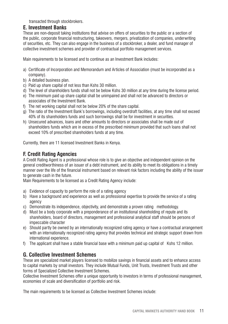transacted through stockbrokers.

### **E. Investment Banks**

These are non-deposit taking institutions that advise on offers of securities to the public or a section of the public, corporate financial restructuring, takeovers, mergers, privatization of companies, underwriting of securities, etc. They can also engage in the business of a stockbroker, a dealer, and fund manager of collective investment schemes and provider of contractual portfolio management services.

Main requirements to be licensed and to continue as an Investment Bank includes:

- a) Certificate of Incorporation and Memorandum and Articles of Association (must be incorporated as a company).
- b) A detailed business plan.
- c) Paid up share capital of not less than Kshs 30 million.
- d) The level of shareholders funds shall not be below Kshs 30 million at any time during the license period.
- e) The minimum paid up share capital shall be unimpaired and shall not be advanced to directors or associates of the Investment Bank.
- f) The net working capital shall not be below 20% of the share capital.
- g) The ratio of the Investment Bank's borrowings, including overdraft facilities, at any time shall not exceed 40% of its shareholders funds and such borrowings shall be for investment in securities.
- h) Unsecured advances, loans and other amounts to directors or associates shall be made out of shareholders funds which are in excess of the prescribed minimum provided that such loans shall not exceed 10% of prescribed shareholders funds at any time.

Currently, there are 11 licensed Investment Banks in Kenya.

### **F. Credit Rating Agencies**

A Credit Rating Agent is a professional whose role is to give an objective and independent opinion on the general creditworthiness of an issuer of a debt instrument, and its ability to meet its obligations in a timely manner over the life of the financial instrument based on relevant risk factors including the ability of the issuer to generate cash in the future.

Main Requirements to be licensed as a Credit Rating Agency include:

- a) Evidence of capacity to perform the role of a rating agency
- b) Have a background and experience as well as professional expertise to provide the service of a rating agency
- c) Demonstrate its independence, objectivity, and demonstrate a proven rating methodology.
- d) Must be a body corporate with a preponderance of an institutional shareholding of repute and its shareholders, board of directors, management and professional analytical staff should be persons of impeccable character
- e) Should partly be owned by an internationally recognized rating agency or have a contractual arrangement with an internationally recognized rating agency that provides technical and strategic support drawn from international experience.
- f) The applicant shall have a stable financial base with a minimum paid up capital of Kshs 12 million.

### **G. Collective Investment Schemes**

These are specialized market players licensed to mobilize savings in financial assets and to enhance access to capital markets by small investors. They include Mutual Funds, Unit Trusts, Investment Trusts and other forms of Specialized Collective Investment Schemes.

Collective Investment Schemes offer a unique opportunity to investors in terms of professional management, economies of scale and diversification of portfolio and risk.

The main requirements to be licensed as Collective Investment Schemes include: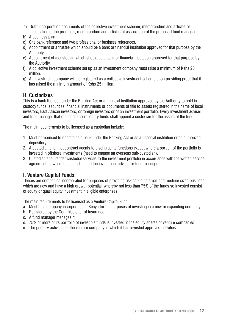- a) Draft incorporation documents of the collective investment scheme; memorandum and articles of association of the promoter; memorandum and articles of association of the proposed fund manager.
- b) A business plan
- c) One bank reference and two professional or business references.
- d) Appointment of a trustee which should be a bank or financial institution approved for that purpose by the Authority.
- e) Appointment of a custodian which should be a bank or financial institution approved for that purpose by the Authority.
- f) A collective investment scheme set up as an investment company must raise a minimum of Kshs 25 million.
- g) An investment company will be registered as a collective investment scheme upon providing proof that it has raised the minimum amount of Kshs 25 million.

### **H. Custodians**

This is a bank licensed under the Banking Act or a financial institution approved by the Authority to hold in custody funds, securities, financial instruments or documents of title to assets registered in the name of local investors, East African investors, or foreign investors or of an investment portfolio. Every investment adviser and fund manager that manages discretionary funds shall appoint a custodian for the assets of the fund.

The main requirements to be licensed as a custodian include:

- 1. Must be licensed to operate as a bank under the Banking Act or as a financial institution or an authorized depository.
- 2. A custodian shall not contract agents to discharge its functions except where a portion of the portfolio is invested in offshore investments (need to engage an overseas sub-custodian).
- 3. Custodian shall render custodial services to the investment portfolio in accordance with the written service agreement between the custodian and the investment adviser or fund manager.

### **I. Venture Capital Funds:**

Theses are companies incorporated for purposes of providing risk capital to small and medium sized business which are new and have a high growth potential, whereby not less than 75% of the funds so invested consist of equity or quasi equity investment in eligible enterprises.

The main requirements to be licensed as a Venture Capital Fund

- a. Must be a company incorporated in Kenya for the purposes of investing in a new or expanding company
- b. Registered by the Commissioner of Insurance
- c. A fund manager manages it.
- d. 75% or more of its portfolio of investible funds is invested in the equity shares of venture companies
- e. The primary activities of the venture company in which it has invested approved activities.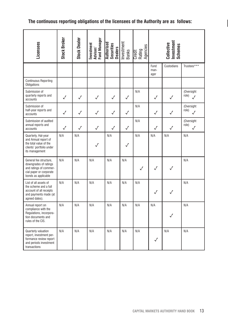## **The continuous reporting obligations of the licensees of the Authority are as follows:**

| Licensees                                                                                                                   | Stock Broker | <b>Stock Dealer</b> | Investment<br>Adviser/<br>Fund Manager | Authorised<br>Securities<br>Dealers | Investment<br><b>Banks</b> | Agencies<br>Credit<br>Rating |                      | Investment<br>Schemes<br>Collective |                                  |
|-----------------------------------------------------------------------------------------------------------------------------|--------------|---------------------|----------------------------------------|-------------------------------------|----------------------------|------------------------------|----------------------|-------------------------------------|----------------------------------|
|                                                                                                                             |              |                     |                                        |                                     |                            |                              | Fund<br>man-<br>ager | Custodians                          | Trustees***                      |
| <b>Continuous Reporting</b><br><b>Obligations</b>                                                                           |              |                     |                                        |                                     |                            |                              |                      |                                     |                                  |
| Submission of<br>quarterly reports and<br>accounts                                                                          | $\checkmark$ | $\checkmark$        | $\checkmark$                           | $\checkmark$                        | √                          | N/A                          | $\checkmark$         | $\checkmark$                        | (Oversight<br>role)<br>$\sqrt{}$ |
| Submission of<br>half-year reports and<br>accounts                                                                          | $\checkmark$ | $\checkmark$        | $\checkmark$                           | $\checkmark$                        | √                          | N/A                          | $\checkmark$         | J                                   | (Oversight<br>role)<br>J         |
| Submission of audited<br>annual reports and<br>accounts                                                                     | $\checkmark$ | $\checkmark$        | $\checkmark$                           | $\checkmark$                        | $\checkmark$               | N/A                          | $\checkmark$         | √                                   | (Oversight<br>role)<br>√         |
| Quarterly, Hal-year<br>and Annual report of<br>the total value of the<br>clients' portfolio under<br>its management         | N/A          | N/A                 | $\checkmark$                           | N/A                                 | $\checkmark$               | N/A                          | N/A                  | N/A                                 | N/A                              |
| General fee structure.<br>downgrades of ratings<br>and ratings of commer-<br>cial paper or corporate<br>bonds as applicable | N/A          | N/A                 | N/A                                    | N/A                                 | N/A                        | $\checkmark$                 | $\checkmark$         | $\checkmark$                        | N/A                              |
| List of all assets of<br>the scheme and a full<br>account of all receipts<br>and payments made (at<br>agreed dates).        | N/A          | N/A                 | N/A                                    | N/A                                 | N/A                        | N/A                          | $\checkmark$         |                                     | N/A                              |
| Annual report on<br>compliance with the<br>Regulations, incorpora-<br>tion documents and<br>rules of the CIS.               | N/A          | N/A                 | N/A                                    | N/A                                 | N/A                        | N/A                          | N/A                  | J                                   | N/A                              |
| Quarterly valuation<br>report, investment per-<br>formance review report<br>and periods investment<br>transactions          | N/A          | N/A                 | N/A                                    | N/A                                 | N/A                        | N/A                          | $\checkmark$         | N/A                                 | N/A                              |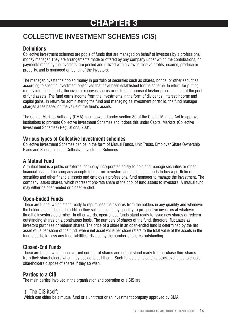# CHAPTER 3

# COLLECTIVE INVESTMENT SCHEMES (CIS)

### **Definitions**

Collective investment schemes are pools of funds that are managed on behalf of investors by a professional money manager. They are arrangements made or offered by any company under which the contributions, or payments made by the investors, are pooled and utilized with a view to receive profits, income, produce or property, and is managed on behalf of the investors.

The manager invests the pooled money in portfolio of securities such as shares, bonds, or other securities according to specific investment objectives that have been established for the scheme. In return for putting money into these funds, the investor receives shares or units that represent his/her pro-rata share of the pool of fund assets. The fund earns income from the investments in the form of dividends, interest income and capital gains. In return for administering the fund and managing its investment portfolio, the fund manager charges a fee based on the value of the fund's assets.

The Capital Markets Authority (CMA) is empowered under section 30 of the Capital Markets Act to approve institutions to promote Collective Investment Schemes and it does this under Capital Markets (Collective Investment Schemes) Regulations, 2001.

### **Various types of Collective Investment schemes**

Collective Investment Schemes can be in the form of Mutual Funds, Unit Trusts, Employer Share Ownership Plans and Special Interest Collective Investment Schemes.

### **A Mutual Fund**

A mutual fund is a public or external company incorporated solely to hold and manage securities or other financial assets. The company accepts funds from investors and uses those funds to buy a portfolio of securities and other financial assets and employs a professional fund manager to manage the investment. The company issues shares, which represent pro-rata share of the pool of fund assets to investors. A mutual fund may either be open-ended or closed-ended.

### **Open-Ended Funds**

These are funds, which stand ready to repurchase their shares from the holders in any quantity and whenever the holder should desire. In addition they sell shares in any quantity to prospective investors at whatever time the investors determine. In other words, open-ended funds stand ready to issue new shares or redeem outstanding shares on a continuous basis. The numbers of shares of the fund, therefore, fluctuates as investors purchase or redeem shares. The price of a share in an open-ended fund is determined by the net asset value per share of the fund, where net asset value per share refers to the total value of the assets in the fund's portfolio, less any fund liabilities, divided by the number of shares outstanding.

### **Closed-End Funds**

These are funds, which issue a fixed number of shares and do not stand ready to repurchase their shares from their shareholders when they decide to sell them. Such funds are listed on a stock exchange to enable shareholders dispose of shares if they so wish.

## **Parties to a CIS**

The main parties involved in the organization and operation of a CIS are:

### i) The CIS itself;

Which can either be a mutual fund or a unit trust or an investment company approved by CMA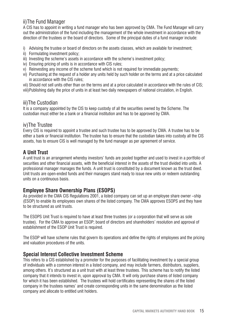## ii)The Fund Manager

A CIS has to appoint in writing a fund manager who has been approved by CMA. The Fund Manager will carry out the administration of the fund including the management of the whole investment in accordance with the direction of the trustees or the board of directors. Some of the principal duties of a fund manager include:

- i) Advising the trustee or board of directors on the assets classes, which are available for investment;
- ii) Formulating investment policy;
- iii) Investing the scheme's assets in accordance with the scheme's investment policy;
- iv) Ensuring pricing of units is in accordance with CIS rules;
- v) Reinvesting any income of the scheme fund which is not required for immediate payments;
- vi) Purchasing at the request of a holder any units held by such holder on the terms and at a price calculated in accordance with the CIS rules;
- vii) Should not sell units other than on the terms and at a price calculated in accordance with the rules of CIS;
- viii)Publishing daily the price of units in at least two daily newspapers of national circulation, in English.

### iii)The Custodian

It is a company appointed by the CIS to keep custody of all the securities owned by the Scheme. The custodian must either be a bank or a financial institution and has to be approved by CMA.

### iv)The Trustee

Every CIS is required to appoint a trustee and such trustee has to be approved by CMA. A trustee has to be either a bank or financial institution. The trustee has to ensure that the custodian takes into custody all the CIS assets, has to ensure CIS is well managed by the fund manager as per agreement of service.

## **A Unit Trust**

A unit trust is an arrangement whereby investors' funds are pooled together and used to invest in a portfolio of securities and other financial assets, with the beneficial interest in the assets of the trust divided into units. A professional manager manages the funds. A unit trust is constituted by a document known as the trust deed. Unit trusts are open-ended funds and their managers stand ready to issue new units or redeem outstanding units on a continuous basis.

### **Employee Share Ownership Plans (ESOPS)**

As provided in the CMA CIS Regulations 2001, a listed company can set up an employee share owner –ship (ESOP) to enable its employees own shares of the listed company. The CMA approves ESOPS and they have to be structured as unit trusts.

The ESOPS Unit Trust is required to have at least three trustees (or a corporation that will serve as sole trustee). For the CMA to approve an ESOP; board of directors and shareholders' resolution and approval of establishment of the ESOP Unit Trust is required.

The ESOP will have scheme rules that govern its operations and define the rights of employees and the pricing and valuation procedures of the units.

### **Special Interest Collective Investment Scheme**

This refers to a CIS established by a promoter for the purposes of facilitating investment by a special group of individuals with a common interest in a listed company, and may include farmers, distributors, suppliers, among others. It's structured as a unit trust with at least three trustees. This scheme has to notify the listed company that it intends to invest in, upon approval by CMA. It will only purchase shares of listed company for which it has been established. The trustees will hold certificates representing the shares of the listed company in the trustees names' and create corresponding units in the same denomination as the listed company and allocate to entitled unit holders.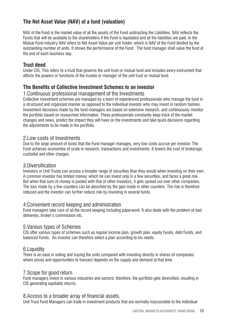## **The Net Asset Value (NAV) of a fund (valuation)**

NAV of the Fund is the market value of all the assets of the Fund subtracting the Liabilities. NAV reflects the Funds that will be available to the shareholders if the Fund is liquidated and all the liabilities are paid. In the Mutual Fund industry NAV refers to Net Asset Value per unit holder, which is NAV of the Fund divided by the outstanding number of units. It shows the performance of the Fund. The fund manager shall value the fund at the end of each business day.

### **Trust deed**

Under CIS, This refers to a trust that governs the unit trust or mutual fund and includes every instrument that affects the powers or functions of the trustee or manager of the unit trust or mutual fund.

### **The Benefits of Collective Investment Schemes to an investor**

### 1.Continuous professional management of the Investments

Collective investment schemes are managed by a team of experienced professionals who manage the fund in a structured and organized manner as opposed to the individual investor who may invest in random fashion. Investment decisions made by the fund managers are based on extensive research, and continuously monitor the portfolio based on researched information. These professionals constantly keep track of the market changes and news, predict the impact they will have on the investments and take quick decisions regarding the adjustments to be made in the portfolio.

### 2.Low costs of Investments

Due to the large amount of funds that the Fund manager manages, very low costs accrue per investor. The Fund achieves economies of scale in research, transactions and investments. It lowers the cost of brokerage, custodial and other charges.

### 3.Diversification

Investors in Unit Trusts can access a broader range of securities than they would when investing on their own. A common investor has limited money, which he can invest only in a few securities, and faces a great risk. But when that sum of money is pooled with that of other investors, it gets spread out over other companies. The loss made by a few counters can be absorbed by the gain made in other counters. The risk is therefore reduced and the investor can further reduce risk by investing in several funds.

### 4.Convenient record keeping and administration

Fund managers take care of all the record keeping including paperwork. It also deals with the problem of bad deliveries, broker's commission etc.

### 5.Various types of Schemes

CIS offer various types of schemes such as regular income plan, growth plan, equity Funds, debt Funds, and balanced Funds. An investor can therefore select a plan according to his needs.

### 6.Liquidity

There is an ease in selling and buying the units compared with investing directly in shares of companies where prices and opportunities to transact depends on the supply and demand at that time.

### 7.Scope for good return

Fund managers invest in various industries and sectors; therefore, the portfolio gets diversified, resulting in CIS generating equitable returns.

### 8.Access to a broader array of financial assets.

Unit Trust Fund Managers can trade in investment products that are normally inaccessible to the individual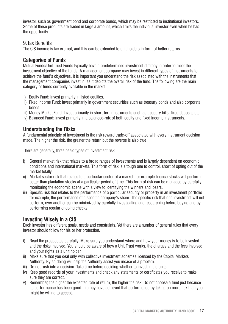investor, such as government bond and corporate bonds, which may be restricted to institutional investors. Some of these products are traded in large a amount, which limits the individual investor even when he has the opportunity.

### 9.Tax Benefits

The CIS income is tax exempt, and this can be extended to unit holders in form of better returns.

### **Categories of Funds**

Mutual Funds/Unit Trust Funds typically have a predetermined investment strategy in order to meet the investment objective of the funds. A management company may invest in different types of instruments to achieve the fund's objectives. It is important you understand the risk associated with the instruments that the management companies invest in, as it depicts the overall risk of the fund. The following are the main category of funds currently available in the market.

- i) Equity Fund: Invest primarily in listed equities.
- ii) Fixed Income Fund: Invest primarily in government securities such as treasury bonds and also corporate bonds.
- iii) Money Market Fund: Invest primarily in short-term instruments such as treasury bills, fixed deposits etc.
- iv) Balanced Fund: Invest primarily in a balanced-mix of both equity and fixed income instruments.

### **Understanding the Risks**

A fundamental principle of investment is the risk reward trade-off associated with every instrument decision made. The higher the risk, the greater the return but the reverse is also true

There are generally, three basic types of investment risk:

- i) General market risk that relates to a broad ranges of investments and is largely dependent on economic conditions and international markets. This form of risk is a tough one to control, short of opting out of the market totally.
- ii) Market sector risk that relates to a particular sector of a market, for example finance stocks will perform better than plantation stocks at a particular period of time. This form of risk can be managed by carefully monitoring the economic scene with a view to identifying the winners and losers.
- iii) Specific risk that relates to the performance of a particular security or property in an investment portfolio for example, the performance of a specific company's share. The specific risk that one investment will not perform, over another can be minimized by carefully investigating and researching before buying and by performing regular ongoing checks.

### **Investing Wisely in a CIS**

Each investor has different goals, needs and constraints. Yet there are a number of general rules that every investor should follow for his or her protection.

- i) Read the prospectus carefully. Make sure you understand where and how your money is to be invested and the risks involved. You should be aware of how a Unit Trust works, the charges and the fees involved and your rights as a unit holder.
- ii) Make sure that you deal only with collective investment schemes licensed by the Capital Markets Authority. By so doing will help the Authority assist you incase of a problem.
- iii) Do not rush into a decision. Take time before deciding whether to invest in the units.
- iv) Keep good records of your investments and check any statements or certificates you receive to make sure they are correct.
- v) Remember, the higher the expected rate of return, the higher the risk. Do not choose a fund just because its performance has been good – it may have achieved that performance by taking on more risk than you might be willing to accept.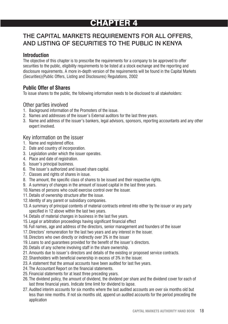# CHAPTER 4

## THE CAPITAL MARKETS REQUIREMENTS FOR ALL OFFERS, AND LISTING OF SECURITIES TO THE PUBLIC IN KENYA

### **Introduction**

The objective of this chapter is to prescribe the requirements for a company to be approved to offer securities to the public, eligibility requirements to be listed at a stock exchange and the reporting and disclosure requirements. A more in-depth version of the requirements will be found in the Capital Markets (Securities)(Public Offers, Listing and Disclosures) Regulations, 2002

### **Public Offer of Shares**

To issue shares to the public, the following information needs to be disclosed to all stakeholders:

### Other parties involved

- 1. Background information of the Promoters of the issue.
- 2. Names and addresses of the issuer's External auditors for the last three years.
- 3. Name and address of the issuer's bankers, legal advisors, sponsors, reporting accountants and any other expert involved.

### Key information on the issuer

- 1. Name and registered office.
- 2. Date and country of incorporation.
- 3. Legislation under which the issuer operates.
- 4. Place and date of registration.
- 5. Issuer's principal business.
- 6. The issuer's authorized and issued share capital.
- 7. Classes and rights of shares in issue.
- 8. The amount, the specific class of shares to be issued and their respective rights.
- 9. A summary of changes in the amount of issued capital in the last three years.
- 10.Names of persons who could exercise control over the issuer.
- 11.Details of ownership structure after the issue.
- 12. Identity of any parent or subsidiary companies.
- 13.A summary of principal contents of material contracts entered into either by the issuer or any party specified in 12 above within the last two years.
- 14.Details of material changes in business in the last five years.
- 15. Legal or arbitration proceedings having significant financial effect
- 16. Full names, age and address of the directors, senior management and founders of the issuer
- 17.Directors' remuneration for the last two years and any interest in the issuer.
- 18.Directors who own directly or indirectly over 3% in the issuer
- 19. Loans to and guarantees provided for the benefit of the issuer's directors.
- 20.Details of any scheme involving staff in the share ownership.
- 21.Amounts due to issuer's directors and details of the existing or proposed service contracts.
- 22.Shareholders with beneficial ownership in excess of 3% in the issuer.
- 23.A statement that the annual accounts have been audited for last five years.
- 24. The Accountant Report on the financial statements.
- 25. Financial statements for at least three preceding years.
- 26. The dividend policy, the amount of dividend, the dividend per share and the dividend cover for each of last three financial years. Indicate time limit for dividend to lapse.
- 27.Audited interim accounts for six months where the last audited accounts are over six months old but less than nine months. If not six months old, append un audited accounts for the period preceding the application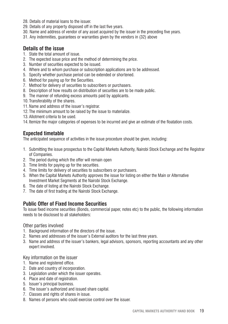- 28. Details of material loans to the issuer.
- 29. Details of any property disposed off in the last five years.
- 30. Name and address of vendor of any asset acquired by the issuer in the preceding five years.
- 31. Any indemnities, guarantees or warranties given by the vendors in (32) above

### **Details of the issue**

- 1. State the total amount of issue.
- 2. The expected issue price and the method of determining the price.
- 3. Number of securities expected to be issued.
- 4. Where and to whom purchase or subscription applications are to be addressed.
- 5. Specify whether purchase period can be extended or shortened.
- 6. Method for paying up for the Securities.
- 7. Method for delivery of securities to subscribers or purchasers.
- 8. Description of how results on distribution of securities are to be made public.
- 9. The manner of refunding excess amounts paid by applicants.
- 10. Transferability of the shares.
- 11.Name and address of the issuer's registrar.
- 12. The minimum amount to be raised by the issue to materialize.
- 13.Allotment criteria to be used.
- 14. Itemize the major categories of expenses to be incurred and give an estimate of the floatation costs.

### **Expected timetable**

The anticipated sequence of activities in the issue procedure should be given, including:

- 1. Submitting the issue prospectus to the Capital Markets Authority, Nairobi Stock Exchange and the Registrar of Companies.
- 2. The period during which the offer will remain open
- 3. Time limits for paying up for the securities.
- 4. Time limits for delivery of securities to subscribers or purchasers.
- 5. When the Capital Markets Authority approves the issue for listing on either the Main or Alternative Investment Market Segments at the Nairobi Stock Exchange.
- 6. The date of listing at the Nairobi Stock Exchange.
- 7. The date of first trading at the Nairobi Stock Exchange.

### **Public Offer of Fixed Income Securities**

To issue fixed income securities (Bonds, commercial paper, notes etc) to the public, the following information needs to be disclosed to all stakeholders:

#### Other parties involved

- 1. Background information of the directors of the issue.
- 2. Names and addresses of the issuer's External auditors for the last three years.
- 3. Name and address of the issuer's bankers, legal advisors, sponsors, reporting accountants and any other expert involved.

Key information on the issuer

- 1. Name and registered office.
- 2. Date and country of incorporation.
- 3. Legislation under which the issuer operates.
- 4. Place and date of registration.
- 5. Issuer's principal business.
- 6. The issuer's authorized and issued share capital.
- 7. Classes and rights of shares in issue.
- 8. Names of persons who could exercise control over the issuer.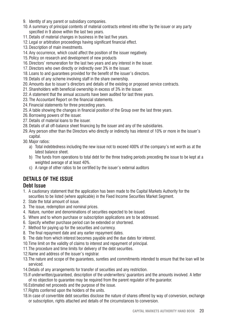- 9. Identity of any parent or subsidiary companies.
- 10.A summary of principal contents of material contracts entered into either by the issuer or any party specified in 9 above within the last two years.
- 11.Details of material changes in business in the last five years.
- 12. Legal or arbitration proceedings having significant financial effect.
- 13.Description of main investments.
- 14.Any occurrence, which could affect the position of the issuer negatively.
- 15.Policy on research and development of new products
- 16.Directors' remuneration for the last two years and any interest in the issuer.
- 17.Directors who own directly or indirectly over 3% in the issuer.
- 18. Loans to and guarantees provided for the benefit of the issuer's directors.
- 19.Details of any scheme involving staff in the share ownership.
- 20.Amounts due to issuer's directors and details of the existing or proposed service contracts.
- 21.Shareholders with beneficial ownership in excess of 3% in the issuer.
- 22.A statement that the annual accounts have been audited for last three years.
- 23. The Accountant Report on the financial statements.
- 24. Financial statements for three preceding years.
- 25.A table showing the changes in financial position of the Group over the last three years.
- 26.Borrowing powers of the issuer.
- 27.Details of material loans to the issuer.
- 28.Details of all off-balance sheet financing by the issuer and any of the subsidiaries.
- 29.Any person other than the Directors who directly or indirectly has interest of 10% or more in the issuer's capital.
- 30.Major ratios:
	- a) Total indebtedness including the new issue not to exceed 400% of the company's net worth as at the latest balance sheet.
	- b) The funds from operations to total debt for the three trading periods preceding the issue to be kept at a weighted average of at least 40%.
	- c) A range of other ratios to be certified by the issuer's external auditors

## **DETAILS OF THE ISSUE**

### **Debt Issue**

- 1. A cautionary statement that the application has been made to the Capital Markets Authority for the securities to be listed (where applicable) in the Fixed Income Securities Market Segment.
- 2. State the total amount of issue.
- 3. The issue, redemption and nominal prices.
- 4. Nature, number and denominations of securities expected to be issued.
- 5. Where and to whom purchase or subscription applications are to be addressed.
- 6. Specify whether purchase period can be extended or shortened.
- 7. Method for paying up for the securities and currency.
- 8. The final repayment date and any earlier repayment dates.
- 9. The date from which interest becomes payable and the due dates for interest.
- 10.Time limit on the validity of claims to interest and repayment of principal.
- 11.The procedure and time limits for delivery of the debt securities.
- 12.Name and address of the issuer's registrar.
- 13.The nature and scope of the guarantees, sureties and commitments intended to ensure that the loan will be serviced.
- 14.Details of any arrangements for transfer of securities and any restriction.
- 15.If underwritten/guaranteed, description of the underwriters/ guarantors and the amounts involved. A letter of no objection to guarantee may be required from the parent regulator of the guarantor.
- 16.Estimated net proceeds and the purpose of the issue.
- 17. Rights conferred upon the holders of the units.
- 18.In case of convertible debt securities disclose the nature of shares offered by way of conversion, exchange or subscription, rights attached and details of the circumstances to conversion.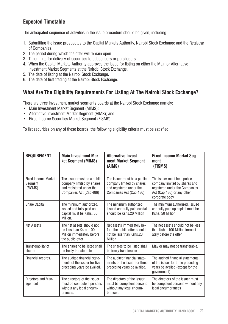## **Expected Timetable**

The anticipated sequence of activities in the issue procedure should be given, including:

- 1. Submitting the issue prospectus to the Capital Markets Authority, Nairobi Stock Exchange and the Registrar of Companies.
- 2. The period during which the offer will remain open
- 3. Time limits for delivery of securities to subscribers or purchasers.
- 4. When the Capital Markets Authority approves the issue for listing on either the Main or Alternative Investment Market Segments at the Nairobi Stock Exchange.
- 5. The date of listing at the Nairobi Stock Exchange.
- 6. The date of first trading at the Nairobi Stock Exchange.

### **What Are The Eligibility Requirements For Listing At The Nairobi Stock Exchange?**

There are three investment market segments boards at the Nairobi Stock Exchange namely:

- Main Investment Market Segment (MIMS):
- Alternative Investment Market Segment (AIMS); and
- Fixed Income Securities Market Segment (FISMS).

To list securities on any of these boards, the following eligibility criteria must be satisfied:

| <b>REQUIREMENT</b>                               | <b>Main Investment Mar-</b><br>ket Segment (MIMS)                                                               | <b>Alternative Invest-</b><br>ment Market Segment<br>(AIMS)                                                     | <b>Fixed Income Market Seg-</b><br>ment<br>(FISMS)                                                                                              |  |
|--------------------------------------------------|-----------------------------------------------------------------------------------------------------------------|-----------------------------------------------------------------------------------------------------------------|-------------------------------------------------------------------------------------------------------------------------------------------------|--|
| <b>Fixed Income Market</b><br>Segment<br>(FISMS) | The issuer must be a public<br>company limited by shares<br>and registered under the<br>Companies Act (Cap 486) | The issuer must be a public<br>company limited by shares<br>and registered under the<br>Companies Act (Cap 486) | The issuer must be a public<br>company limited by shares and<br>registered under the Companies<br>Act (Cap 486) or any other<br>corporate body. |  |
| <b>Share Capital</b>                             | The minimum authorized.<br>issued and fully paid up<br>capital must be Kshs. 50<br>Million.                     | The minimum authorized.<br>issued and fully paid capital<br>should be Kshs 20 Million                           | The minimum authorized, issued<br>and fully paid up capital must be<br>Kshs. 50 Million                                                         |  |
| <b>Net Assets</b>                                | The net assets should not<br>be less than Kshs, 100<br>Million immediately before<br>the public offer.          | Net assets immediately be-<br>fore the public offer should<br>not be less than Kshs.20<br>Million               | The net assets should not be less<br>than Kshs, 100 Million immedi-<br>ately before the offer.                                                  |  |
| Transferability of<br>shares                     | The shares to be listed shall<br>be freely transferable.                                                        | The shares to be listed shall<br>be freely transferable.                                                        | May or may not be transferable.                                                                                                                 |  |
| Financial records.                               | The audited financial state-<br>ments of the issuer for five<br>preceding years be availed.                     | The audited financial state-<br>ments of the issuer for three<br>preceding years be availed.                    | The audited financial statements<br>of the issuer for three preceding<br>years be availed (except for the<br>government)                        |  |
| Directors and Man-<br>agement                    | The directors of the issuer<br>must be competent persons<br>without any legal encum-<br>brances.                | The directors of the issuer<br>must be competent persons<br>without any legal encum-<br>brances.                | The directors of the issuer must<br>be competent persons without any<br>legal encumbrances                                                      |  |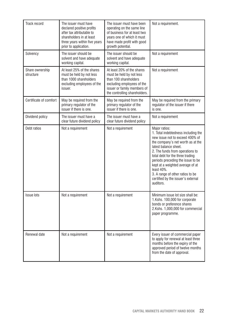| Track record                           | The issuer must have<br>declared positive profits<br>after tax attributable to<br>shareholders in at least<br>three vears within five vears<br>prior to application. | The issuer must have been<br>operating on the same line<br>of business for at least two<br>vears one of which it must<br>have made profit with good<br>growth potential.      | Not a requirement.                                                                                                                                                                                                                                                                                                                                                                                         |
|----------------------------------------|----------------------------------------------------------------------------------------------------------------------------------------------------------------------|-------------------------------------------------------------------------------------------------------------------------------------------------------------------------------|------------------------------------------------------------------------------------------------------------------------------------------------------------------------------------------------------------------------------------------------------------------------------------------------------------------------------------------------------------------------------------------------------------|
| Solvency                               | The issuer should be<br>solvent and have adequate<br>working capital.                                                                                                | The issuer should be<br>solvent and have adequate<br>working capital.                                                                                                         | Not a requirement                                                                                                                                                                                                                                                                                                                                                                                          |
| Share ownership<br>structure           | At least 25% of the shares<br>must be held by not less<br>than 1000 shareholders<br>excluding employees of the<br>issuer.                                            | At least 20% of the shares<br>must be held by not less<br>than 100 shareholders<br>excluding employees of the<br>issuer or family members of<br>the controlling shareholders. | Not a requirement                                                                                                                                                                                                                                                                                                                                                                                          |
| Certificate of comfort                 | May be required from the<br>primary regulator of the<br>issuer if there is one.                                                                                      | May be required from the<br>primary regulator of the<br>issuer if there is one.                                                                                               | May be required from the primary<br>regulator of the issuer if there<br>is one                                                                                                                                                                                                                                                                                                                             |
| Dividend policy                        | The issuer must have a<br>clear future dividend policy                                                                                                               | The issuer must have a<br>clear future dividend policy                                                                                                                        | Not a requirement                                                                                                                                                                                                                                                                                                                                                                                          |
| Debt ratios                            | Not a requirement                                                                                                                                                    | Not a requirement                                                                                                                                                             | Major ratios:<br>1. Total indebtedness including the<br>new issue not to exceed 400% of<br>the company's net worth as at the<br>latest balance sheet.<br>2. The funds from operations to<br>total debt for the three trading<br>periods preceding the issue to be<br>kept at a weighted average of at<br>least 40%.<br>3. A range of other ratios to be<br>certified by the issuer's external<br>auditors. |
| <b>Issue lots</b><br>Not a requirement |                                                                                                                                                                      | Not a requirement                                                                                                                                                             | Minimum issue lot size shall be:<br>1.Kshs. 100,000 for corporate<br>bonds or preference shares<br>2.Kshs. 1,000,000 for commercial<br>paper programme.                                                                                                                                                                                                                                                    |
| Renewal date                           | Not a requirement                                                                                                                                                    | Not a requirement                                                                                                                                                             | Every issuer of commercial paper<br>to apply for renewal at least three<br>months before the expiry of the<br>approved period of twelve months<br>from the date of approval.                                                                                                                                                                                                                               |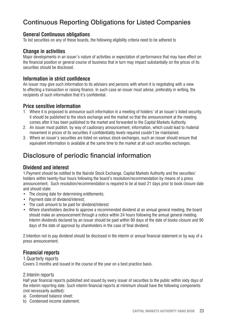# Continuous Reporting Obligations for Listed Companies

### **General Continuous obligations**

To list securities on any of these boards, the following eligibility criteria need to be adhered to

### **Change in activities**

Major developments in an issuer's nature of activities or expectation of performance that may have effect on the financial position or general course of business that in turn may impact substantially on the prices of its securities should be disclosed.

### **Information in strict confidence**

An issuer may give such information to its advisers and persons with whom it is negotiating with a view to effecting a transaction or raising finance. In such case an issuer must advise, preferably in writing, the recipients of such information that it's confidential.

### **Price sensitive information**

- 1. Where it is proposed to announce such information in a meeting of holders' of an issuer's listed security, it should be published to the stock exchange and the market so that the announcement at the meeting comes after it has been published to the market and forwarded to the Capital Markets Authority.
- 2. An issuer must publish, by way of cautionary announcement, information, which could lead to material movement in prices of its securities if confidentiality levels required couldn't be maintained.
- 3. Where an issuer's securities are listed on various stock exchanges, such an issuer should ensure that equivalent information is available at the same time to the market at all such securities exchanges.

# Disclosure of periodic financial information

### **Dividend and interest**

1.Payment should be notified to the Nairobi Stock Exchange, Capital Markets Authority and the securities' holders within twenty-four hours following the board's resolution/recommendation by means of a press announcement. Such resolution/recommendation is required to be at least 21 days prior to book closure date and should state:

- The closing date for determining entitlements:
- Payment date of dividend/interest;
- The cash amount to be paid for dividend/interest
- Where shareholders decline to approve a recommended dividend at an annual general meeting, the board should make an announcement through a notice within 24 hours following the annual general meeting. Interim dividends declared by an issuer should be paid within 90 days of the date of books closure and 90 days of the date of approval by shareholders in the case of final dividend.

2.Intention not to pay dividend should be disclosed in the interim or annual financial statement or by way of a press announcement.

### **Financial reports**

1.Quarterly reports Covers 3 months and issued in the course of the year on a best practice basis.

### 2.Interim reports

Half year financial reports published and issued by every issuer of securities to the public within sixty days of the interim reporting date. Such interim financial reports at minimum should have the following components (not necessarily audited):

- a) Condensed balance sheet;
- b) Condensed income statement;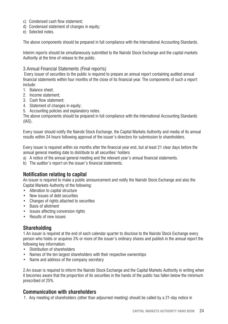- c) Condensed cash flow statement;
- d) Condensed statement of changes in equity;
- e) Selected notes.

The above components should be prepared in full compliance with the International Accounting Standards.

Interim reports should be simultaneously submitted to the Nairobi Stock Exchange and the capital markets Authority at the time of release to the public.

#### 3.Annual Financial Statements (Final reports)

 Every issuer of securities to the public is required to prepare an annual report containing audited annual financial statements within four months of the close of its financial year. The components of such a report include:

- 1. Balance sheet;
- 2. Income statement;
- 3. Cash flow statement;
- 4. Statement of changes in equity;
- 5. Accounting policies and explanatory notes.

The above components should be prepared in full compliance with the International Accounting Standards (IAS).

Every issuer should notify the Nairobi Stock Exchange, the Capital Markets Authority and media of its annual results within 24 hours following approval of the issuer's directors for submission to shareholders.

Every issuer is required within six months after the financial year end, but at least 21 clear days before the annual general meeting date to distribute to all securities' holders

- a) A notice of the annual general meeting and the relevant year's annual financial statements.
- b) The auditor's report on the issuer's financial statements.

### **Notification relating to capital**

An issuer is required to make a public announcement and notify the Nairobi Stock Exchange and also the Capital Markets Authority of the following:

- Alteration to capital structure
- New issues of debt securities
- Changes of rights attached to securities
- Basis of allotment
- Issues affecting conversion rights
- Results of new issues

### **Shareholding**

1.An issuer is required at the end of each calendar quarter to disclose to the Nairobi Stock Exchange every person who holds or acquires 3% or more of the issuer's ordinary shares and publish in the annual report the following key information:

- Distribution of shareholders
- Names of the ten largest shareholders with their respective ownerships
- Name and address of the company secretary

2.An issuer is required to inform the Nairobi Stock Exchange and the Capital Markets Authority in writing when it becomes aware that the proportion of its securities in the hands of the public has fallen below the minimum prescribed of 25%.

### **Communication with shareholders**

1. Any meeting of shareholders (other than adjourned meeting) should be called by a 21-day notice in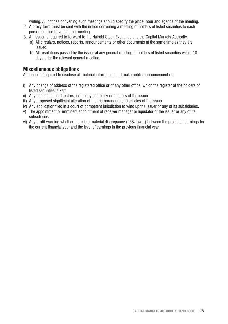writing. All notices convening such meetings should specify the place, hour and agenda of the meeting.

- 2. A proxy form must be sent with the notice convening a meeting of holders of listed securities to each person entitled to vote at the meeting.
- 3. An issuer is required to forward to the Nairobi Stock Exchange and the Capital Markets Authority.
	- a) All circulars, notices, reports, announcements or other documents at the same time as they are issued.
	- b) All resolutions passed by the issuer at any general meeting of holders of listed securities within 10 days after the relevant general meeting.

### **Miscellaneous obligations**

An issuer is required to disclose all material information and make public announcement of:

- i) Any change of address of the registered office or of any other office, which the register of the holders of listed securities is kept.
- ii) Any change in the directors, company secretary or auditors of the issuer
- iii) Any proposed significant alteration of the memorandum and articles of the issuer
- iv) Any application filed in a court of competent jurisdiction to wind up the issuer or any of its subsidiaries.
- v) The appointment or imminent appointment of receiver manager or liquidator of the issuer or any of its subsidiaries
- vi) Any profit warning whether there is a material discrepancy (25% lower) between the projected earnings for the current financial year and the level of earnings in the previous financial year.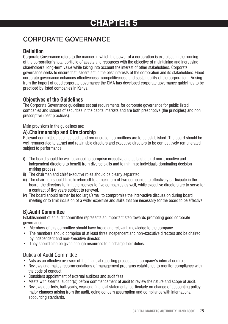# CHAPTER 5

# CORPORATE GOVERNANCE

## **Definition**

Corporate Governance refers to the manner in which the power of a corporation is exercised in the running of the corporation's total portfolio of assets and resources with the objective of maintaining and increasing shareholders' long-term value while taking into account the interest of other stakeholders. Corporate governance seeks to ensure that leaders act in the best interests of the corporation and its stakeholders. Good corporate governance enhances effectiveness, competitiveness and sustainability of the corporation. Arising from the import of good corporate governance the CMA has developed corporate governance guidelines to be practiced by listed companies in Kenya.

### **Objectives of the Guidelines**

The Corporate Governance guidelines set out requirements for corporate governance for public listed companies and issuers of securities in the capital markets and are both prescriptive (the principles) and non prescriptive (best practices).

Main provisions in the guidelines are:

### **A).Chairmanship and Directorship**

Relevant committees such as audit and remuneration committees are to be established. The board should be well remunerated to attract and retain able directors and executive directors to be competitively remunerated subject to performance.

- i) The board should be well balanced to comprise executive and at least a third non-executive and independent directors to benefit from diverse skills and to minimize individuals dominating decision making process.
- ii) The chairman and chief executive roles should be clearly separated.
- iii) The chairman should limit him/herself to a maximum of two companies to effectively participate in the board, the directors to limit themselves to five companies as well, while executive directors are to serve for a contract of five years subject to renewal.
- iv) The board should neither be too large/small to compromise the inter-active discussion during board meeting or to limit inclusion of a wider expertise and skills that are necessary for the board to be effective.

## **B).Audit Committee**

Establishment of an audit committee represents an important step towards promoting good corporate governance.

- Members of this committee should have broad and relevant knowledge to the company.
- The members should comprise of at least three independent and non-executive directors and be chaired by independent and non-executive director.
- They should also be given enough resources to discharge their duties.

### Duties of Audit Committee

- Acts as an effective overseer of the financial reporting process and company's internal controls.
- Reviews and makes recommendations of management programs established to monitor compliance with the code of conduct.
- Considers appointment of external auditors and audit fees
- Meets with external auditor(s) before commencement of audit to review the nature and scope of audit.
- Reviews quarterly, half-yearly, year-end financial statements; particularly on change of accounting policy, major changes arising from the audit, going concern assumption and compliance with international accounting standards.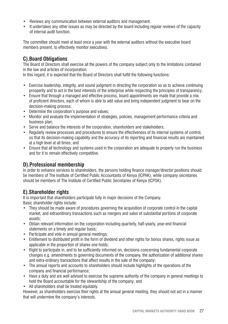- Reviews any communication between external auditors and management.
- It undertakes any other issues as may be directed by the board including regular reviews of the capacity of internal audit function.

The committee should meet at least once a year with the external auditors without the executive board members present, to effectively monitor executives.

## **C).Board Obligations**

The Board of Directors shall exercise all the powers of the company subject only to the limitations contained in the law and articles of incorporation.

In this regard, it is expected that the Board of Directors shall fulfill the following functions:

- Exercise leadership, integrity, and sound judgment in directing the corporation so as to achieve continuing prosperity and to act in the best interests of the enterprise while respecting the principles of transparency;
- Ensure that through a managed and effective process, board appointments are made that provide a mix of proficient directors, each of whom is able to add value and bring independent judgment to bear on the decision-making process;
- Determine the corporation's purpose and values;
- Monitor and evaluate the implementation of strategies, policies, management performance criteria and business plan;
- Serve and balance the interests of the corporation, shareholders and stakeholders;
- Regularly review processes and procedures to ensure the effectiveness of its internal systems of control, so that its decision-making capability and the accuracy of its reporting and financial results are maintained at a high level at all times; and
- Ensure that all technology and systems used in the corporation are adequate to properly run the business and for it to remain effectively competitive.

### **D).Professional membership**

In order to enhance services to shareholders, the persons holding finance manager/director positions should be members of The Institute of Certified Public Accountants of Kenya (ICPAK), while company secretaries should be members of The Institute of Certified Public Secretaries of Kenya (ICPSK).

## **E).Shareholder rights**

It is important that shareholders participate fully in major decisions of the Company. Basic shareholder rights include:

- They should be made aware of procedures governing the acquisition of corporate control in the capital market, and extraordinary transactions such as mergers and sales of substantial portions of corporate assets;
- Obtain relevant information on the corporation including quarterly, half-yearly, year-end financial statements on a timely and regular basis;
- Participate and vote in annual general meetings;
- Entitlement to distributed profit in the form of dividend and other rights for bonus shares, rights issue as applicable in the proportion of shares one holds;
- Right to participate in, and to be sufficiently informed on, decisions concerning fundamental corporate changes e.g. amendments to governing documents of the company, the authorization of additional shares and extra-ordinary transactions that affect results in the sale of the company;
- The annual reports and accounts to shareholders should include highlights of the operations of the company and financial performance;
- Have a duty and are well advised to exercise the supreme authority of the company in general meetings to hold the Board accountable for the stewardship of the company; and
- All shareholders shall be treated equitably.

However, as shareholders exercise their rights at the annual general meeting, they should not act in a manner that will undermine the company's interests.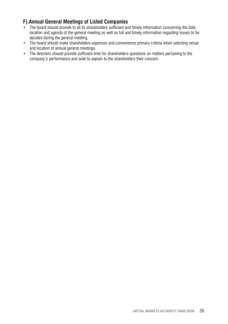## **F).Annual General Meetings of Listed Companies**

- The board should provide to all its shareholders sufficient and timely information concerning the date, location and agenda of the general meeting as well as full and timely information regarding issues to be decided during the general meeting.
- The board should make shareholders expenses and convenience primary criteria when selecting venue and location of annual general meetings.
- The directors should provide sufficient time for shareholders questions on matters pertaining to the company's performance and seek to explain to the shareholders their concern.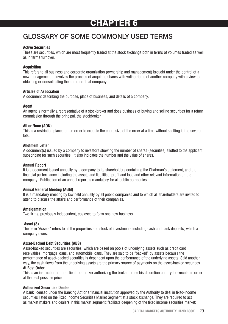# CHAPTER 6

# GLOSSARY OF SOME COMMONLY USED TERMS

#### **Active Securities**

These are securities, which are most frequently traded at the stock exchange both in terms of volumes traded as well as in terms turnover.

#### **Acquisition**

This refers to all business and corporate organization (ownership and management) brought under the control of a new management. It involves the process of acquiring shares with voting rights of another company with a view to obtaining or consolidating the control of that company.

#### **Articles of Association**

A document describing the purpose, place of business, and details of a company.

#### **Agent**

An agent is normally a representative of a stockbroker and does business of buying and selling securities for a return commission through the principal, the stockbroker.

#### **All or None (AON)**

This is a restriction placed on an order to execute the entire size of the order at a time without splitting it into several lots.

#### **Allotment Letter**

A document(s) issued by a company to investors showing the number of shares (securities) allotted to the applicant subscribing for such securities. It also indicates the number and the value of shares.

#### **Annual Report**

It is a document issued annually by a company to its shareholders containing the Chairman's statement, and the financial performance including the assets and liabilities, profit and loss and other relevant information on the company. Publication of an annual report is mandatory for all public companies.

#### **Annual General Meeting (AGM)**

It is a mandatory meeting by law held annually by all public companies and to which all shareholders are invited to attend to discuss the affairs and performance of their companies.

#### **Amalgamation**

Two firms, previously independent, coalesce to form one new business.

#### **Asset (S)**

The term "Assets" refers to all the properties and stock of investments including cash and bank deposits, which a company owns.

#### **Asset-Backed Debt Securities (ABS)**

Asset-backed securities are securities, which are based on pools of underlying assets such as credit card receivables, mortgage loans, and automobile loans. They are said to be "backed" by assets because the performance of asset-backed securities is dependent upon the performance of the underlying assets. Said another way, the cash flows from the underlying assets are the primary source of payments on the asset-backed securities.

#### **At Best Order**

This is an instruction from a client to a broker authorizing the broker to use his discretion and try to execute an order at the best possible price.

#### **Authorized Securities Dealer**

A bank licensed under the Banking Act or a financial institution approved by the Authority to deal in fixed-income securities listed on the Fixed Income Securities Market Segment at a stock exchange. They are required to act as market makers and dealers in this market segment; facilitate deepening of the fixed income securities market;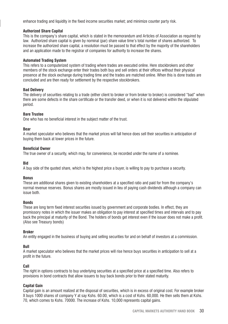enhance trading and liquidity in the fixed income securities market; and minimize counter party risk.

#### **Authorized Share Capital**

This is the company's share capital, which is stated in the memorandum and Articles of Association as required by law. Authorized share capital is given by nominal (par) share value time's total number of shares authorized. To increase the authorized share capital, a resolution must be passed to that effect by the majority of the shareholders and an application made to the registrar of companies for authority to increase the shares.

#### **Automated Trading System**

This refers to a computerized system of trading where trades are executed online. Here stockbrokers and other members of the stock exchange enter their trades both buy and sell orders at their offices without their physical presence at the stock exchange during trading time and the trades are matched online. When this is done trades are concluded and are then ready for settlement by the respective stockbrokers.

#### **Bad Delivery**

The delivery of securities relating to a trade (either client to broker or from broker to broker) is considered "bad" when there are some defects in the share certificate or the transfer deed, or when it is not delivered within the stipulated period.

#### **Bare Trustee**

One who has no beneficial interest in the subject matter of the trust.

#### **Bear**

A market speculator who believes that the market prices will fall hence does sell their securities in anticipation of buying them back at lower prices in the future.

#### **Beneficial Owner**

The true owner of a security, which may, for convenience, be recorded under the name of a nominee.

#### **Bid**

A buy side of the quoted share, which is the highest price a buyer, is willing to pay to purchase a security.

#### **Bonus**

These are additional shares given to existing shareholders at a specified ratio and paid for from the company's normal revenue reserves. Bonus shares are mostly issued in lieu of paying cash dividends although a company can issue both.

#### **Bonds**

These are long term fixed interest securities issued by government and corporate bodies. In effect, they are promissory notes in which the issuer makes an obligation to pay interest at specified times and intervals and to pay back the principal at maturity of the Bond. The holders of bonds get interest even if the issuer does not make a profit. (Also see Treasury bonds)

#### **Broker**

An entity engaged in the business of buying and selling securities for and on behalf of investors at a commission.

#### **Bull**

A market speculator who believes that the market prices will rise hence buys securities in anticipation to sell at a profit in the future.

#### **Call**

The right in options contracts to buy underlying securities at a specified price at a specified time. Also refers to provisions in bond contracts that allow issuers to buy back bonds prior to their stated maturity.

#### **Capital Gain**

Capital gain is an amount realized at the disposal of securities, which is in excess of original cost. For example broker X buys 1000 shares of company Y at say Kshs. 60.00, which is a cost of Kshs. 60,000. He then sells them at Kshs. 70, which comes to Kshs. 70000. The increase of Kshs. 10,000 represents capital gains.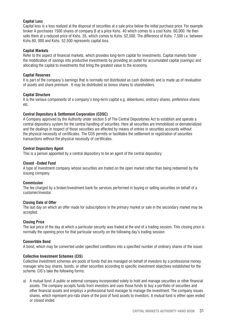#### **Capital Loss**

Capital loss is a loss realized at the disposal of securities at a sale price below the initial purchase price. For example broker A purchases 1500 shares of company B at a price Kshs. 40 which comes to a cost Kshs. 60,000. He then sells them at a reduced price of Kshs. 35, which comes to Kshs. 52,500. The difference of Kshs. 7,500 i.e. between Kshs.60, 000 and Kshs. 52,500 represents capital loss.

#### **Capital Markets**

Refer to the aspect of financial markets, which provides long-term capital for investments. Capital markets foster the mobilization of savings into productive investments by providing an outlet for accumulated capital (savings) and allocating the capital to investments that bring the greatest value to the economy.

#### **Capital Reserves**

It is part of the company's earnings that is normally not distributed as cash dividends and is made up of revaluation of assets and share premium. It may be distributed as bonus shares to shareholders.

#### **Capital Structure**

It is the various components of a company's long-term capital e.g. debentures, ordinary shares, preference shares etc.

#### **Central Depository & Settlement Corporation (CDSC)**

A Company approved by the Authority under section 5 of The Central Depositories Act to establish and operate a central depository system for the central handling of securities. Here all securities are immobilized or dematerialized and the dealings in respect of those securities are effected by means of entries in securities accounts without the physical necessity of certificates. The CDS permits or facilitates the settlement or registration of securities transactions without the physical necessity of certificates.

#### **Central Depository Agent**

This is a person appointed by a central depository to be an agent of the central depository.

#### **Closed –Ended Fund**

A type of investment company whose securities are traded on the open market rather than being redeemed by the issuing company.

#### **Commission**

The fee charged by a broker/investment bank for services performed in buying or selling securities on behalf of a customer/investor.

#### **Closing Date of Offer**

The last day on which an offer made for subscriptions in the primary market or sale in the secondary market may be accepted.

#### **Closing Price**

The last price of the day at which a particular security was traded at the end of a trading session. This closing price is normally the opening price for that particular security on the following day's trading session.

#### **Convertible Bond**

A bond, which may be converted under specified conditions into a specified number of ordinary shares of the issuer.

#### **Collective Investment Schemes (CIS)**

Collective investment schemes are pools of funds that are managed on behalf of investors by a professional money manager who buy shares, bonds, or other securities according to specific investment objectives established for the scheme. CIS's take the following forms:

a) A mutual fund: A public or external company incorporated solely to hold and manage securities or other financial assets. The company accepts funds from investors and uses those funds to buy a portfolio of securities and other financial assets and employs a professional fund manager to manage the investment. The company issues shares, which represent pro-rata share of the pool of fund assets to investors. A mutual fund is either open ended or closed ended.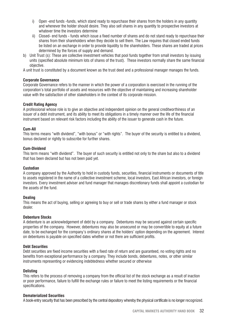- i) Open -end funds -funds, which stand ready to repurchase their shares from the holders in any quantity and whenever the holder should desire. They also sell shares in any quantity to prospective investors at whatever time the investors determine
- ii) Closed- end funds funds which issue a fixed number of shares and do not stand ready to repurchase their shares from their shareholders when they decide to sell them. The Law requires that closed ended funds be listed on an exchange in order to provide liquidity to the shareholders. These shares are traded at prices determined by the forces of supply and demand.
- b) Unit Trust (s): These are collective investment vehicles that pool funds together from small investors by issuing units (specified absolute minimum lots of shares of the trust). These investors normally share the same financial objective.

A unit trust is constituted by a document known as the trust deed and a professional manager manages the funds.

#### **Corporate Governance**

Corporate Governance refers to the manner in which the power of a corporation is exercised in the running of the corporation's total portfolio of assets and resources with the objective of maintaining and increasing shareholder value with the satisfaction of other stakeholders in the context of its corporate mission.

#### **Credit Rating Agency**

A professional whose role is to give an objective and independent opinion on the general creditworthiness of an issuer of a debt instrument, and its ability to meet its obligations in a timely manner over the life of the financial instrument based on relevant risk factors including the ability of the issuer to generate cash in the future.

#### **Cum-All**

This terms means "with dividend", "with bonus" or "with rights". The buyer of the security is entitled to a dividend, bonus declared or rightly to subscribe for further shares.

#### **Cum-Dividend**

This term means "with dividend". The buyer of such security is entitled not only to the share but also to a dividend that has been declared but has not been paid yet.

#### **Custodian**

A company approved by the Authority to hold in custody funds, securities, financial instruments or documents of title to assets registered in the name of a collective investment scheme, local investors, East African investors, or foreign investors. Every investment adviser and fund manager that manages discretionary funds shall appoint a custodian for the assets of the fund.

#### **Dealing**

This means the act of buying, selling or agreeing to buy or sell or trade shares by either a fund manager or stock dealer.

#### **Debenture Stocks**

A debenture is an acknowledgement of debt by a company. Debentures may be secured against certain specific properties of the company. However, debentures may also be unsecured or may be convertible to equity at a future date, to be exchanged for the company's ordinary shares at the holders' option depending on the agreement. Interest on debentures is payable on specified dates whether or not there are sufficient profits.

#### **Debt Securities**

Debt securities are fixed income securities with a fixed rate of return and are guaranteed, no voting rights and no benefits from exceptional performance by a company. They include bonds, debentures, notes, or other similar instruments representing or evidencing indebtedness whether secured or otherwise

#### **Delisting**

This refers to the process of removing a company from the official list of the stock exchange as a result of inaction or poor performance, failure to fulfill the exchange rules or failure to meet the listing requirements or the financial specifications.

#### **Dematerialized Securities**

A book-entry security that has been prescribed by the central depository whereby the physical certificate is no longer recognized.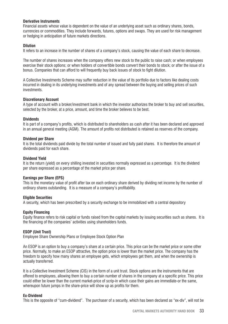#### **Derivative Instruments**

Financial assets whose value is dependent on the value of an underlying asset such as ordinary shares, bonds, currencies or commodities. They include forwards, futures, options and swaps. They are used for risk management or hedging in anticipation of future markets directions.

#### **Dilution**

It refers to an increase in the number of shares of a company's stock, causing the value of each share to decrease.

The number of shares increases when the company offers new stock to the public to raise cash; or when employees exercise their stock options; or when holders of convertible bonds convert their bonds to stock; or after the issue of a bonus. Companies that can afford to will frequently buy back issues of stock to fight dilution.

A Collective Investments Scheme may suffer reduction in the value of its portfolio due to factors like dealing costs incurred in dealing in its underlying investments and of any spread between the buying and selling prices of such investments.

#### **Discretionary Account**

A type of account with a broker/investment bank in which the investor authorizes the broker to buy and sell securities, selected by the broker, at a price, amount, and time the broker believes to be best.

#### **Dividends**

It is part of a company's profits, which is distributed to shareholders as cash after it has been declared and approved in an annual general meeting (AGM). The amount of profits not distributed is retained as reserves of the company.

#### **Dividend per Share**

It is the total dividends paid divide by the total number of issued and fully paid shares. It is therefore the amount of dividends paid for each share.

#### **Dividend Yield**

It is the return (yield) on every shilling invested in securities normally expressed as a percentage. It is the dividend per share expressed as a percentage of the market price per share.

#### **Earnings per Share (EPS)**

This is the monetary value of profit after tax on each ordinary share derived by dividing net income by the number of ordinary shares outstanding. It is a measure of a company's profitability.

#### **Eligible Securities**

A security, which has been prescribed by a security exchange to be immobilized with a central depository

#### **Equity Financing**

Equity finance refers to risk capital or funds raised from the capital markets by issuing securities such as shares. It is the financing of the companies' activities using shareholders funds.

#### **ESOP (Unit Trust)**

Employee Share Ownership Plans or Employee Stock Option Plan

An ESOP is an option to buy a company's share at a certain price. This price can be the market price or some other price. Normally, to make an ESOP attractive, the option price is lower than the market price. The company has the freedom to specify how many shares an employee gets, which employees get them, and when the ownership is actually transferred.

It is a Collective Investment Scheme (CIS) in the form of a unit trust. Stock options are the instruments that are offered to employees, allowing them to buy a certain number of shares in the company at a specific price. This price could either be lower than the current market-price of scrip-in which case their gains are immediate-or the same, whereupon future jumps in the share-price will show up as profits for them.

#### **Ex-Dividend**

This is the opposite of "cum-dividend". The purchaser of a security, which has been declared as "ex-div", will not be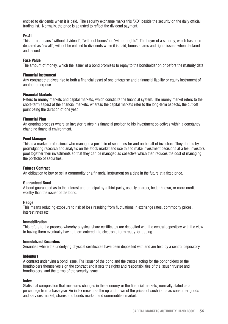entitled to dividends when it is paid. The security exchange marks this "XD" beside the security on the daily official trading list. Normally, the price is adjusted to reflect the dividend payment.

#### **Ex-All**

This terms means "without dividend", "with out bonus" or "without rights". The buyer of a security, which has been declared as "ex-all", will not be entitled to dividends when it is paid, bonus shares and rights issues when declared and issued.

#### **Face Value**

The amount of money, which the issuer of a bond promises to repay to the bondholder on or before the maturity date.

#### **Financial Instrument**

Any contract that gives rise to both a financial asset of one enterprise and a financial liability or equity instrument of another enterprise.

#### **Financial Markets**

Refers to money markets and capital markets, which constitute the financial system. The money market refers to the short-term aspect of the financial markets, whereas the capital markets refer to the long-term aspects, the cut-off point being the duration of one year.

#### **Financial Plan**

An ongoing process where an investor relates his financial position to his Investment objectives within a constantly changing financial environment.

#### **Fund Manager**

This is a market professional who manages a portfolio of securities for and on behalf of investors. They do this by promulgating research and analysis on the stock market and use this to make investment decisions at a fee. Investors pool together their investments so that they can be managed as collective which then reduces the cost of managing the portfolio of securities.

#### **Futures Contract**

An obligation to buy or sell a commodity or a financial instrument on a date in the future at a fixed price.

#### **Guaranteed Bond**

A bond guaranteed as to the interest and principal by a third party, usually a larger, better known, or more credit worthy than the issuer of the bond.

#### **Hedge**

This means reducing exposure to risk of loss resulting from fluctuations in exchange rates, commodity prices, interest rates etc.

#### **Immobilization**

This refers to the process whereby physical share certificates are deposited with the central depository with the view to having them eventually having them entered into electronic form ready for trading.

#### **Immobilized Securities**

Securities where the underlying physical certificates have been deposited with and are held by a central depository.

#### **Indenture**

A contract underlying a bond issue. The issuer of the bond and the trustee acting for the bondholders or the bondholders themselves sign the contract and it sets the rights and responsibilities of the issuer, trustee and bondholders, and the terms of the security issue.

#### **Index**

Statistical composition that measures changes in the economy or the financial markets, normally stated as a percentage from a base year. An index measures the up and down of the prices of such items as consumer goods and services market, shares and bonds market, and commodities market.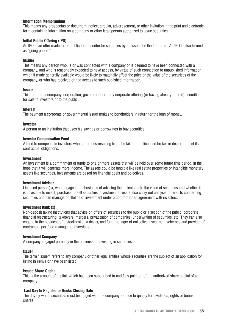#### **Information Memorandum**

This means any prospectus or document, notice, circular, advertisement, or other invitation in the print and electronic form containing information on a company or other legal person authorized to issue securities.

#### **Initial Public Offering (IPO)**

An IPO is an offer made to the public to subscribe for securities by an issuer for the first time. An IPO is also termed as "going public."

#### **Insider**

This means any person who, is or was connected with a company or is deemed to have been connected with a company, and who is reasonably expected to have access, by virtue of such connection to unpublished information which if made generally available would be likely to materially affect the price or the value of the securities of the company, or who has received or had access to such published information.

#### **Issuer**

This refers to a company, corporation, government or body corporate offering (or having already offered) securities for sale to investors or to the public.

#### **Interest**

The payment a corporate or governmental issuer makes to bondholders in return for the loan of money.

#### **Investor**

A person or an institution that uses his savings or borrowings to buy securities.

#### **Investor Compensation Fund**

A fund to compensate investors who suffer loss resulting from the failure of a licensed broker or dealer to meet its contractual obligations.

#### **Investment**

An Investment is a commitment of funds to one or more assets that will be held over some future time period, in the hope that it will generate more income. The assets could be tangible like real estate properties or intangible monetary assets like securities. Investments are based on financial goals and objectives.

#### **Investment Adviser**

Licensed person(s), who engage in the business of advising their clients as to the value of securities and whether it is advisable to invest, purchase or sell securities. Investment advisers also carry out analysis or reports concerning securities and can manage portfolios of investment under a contract or an agreement with investors.

#### **Investment Bank (s)**

Non-deposit taking institutions that advise on offers of securities to the public or a section of the public, corporate financial restructuring, takeovers, mergers, privatization of companies, underwriting of securities, etc. They can also engage in the business of a stockbroker, a dealer, and fund manager of collective investment schemes and provider of contractual portfolio management services.

#### **Investment Company**

A company engaged primarily in the business of investing in securities.

#### **Issuer**

The term "Issuer" refers to any company or other legal entities whose securities are the subject of an application for listing in Kenya or have been listed.

#### **Issued Share Capital**

This is the amount of capital, which has been subscribed to and fully paid out of the authorized share capital of a company.

#### **Last Day to Register or Books Closing Date**

The day by which securities must be lodged with the company's office to qualify for dividends, rights or bonus shares.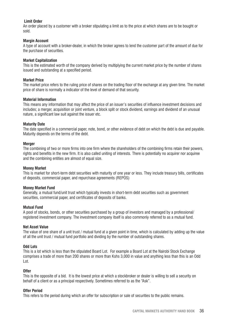#### **Limit Order**

An order placed by a customer with a broker stipulating a limit as to the price at which shares are to be bought or sold.

#### **Margin Account**

A type of account with a broker-dealer, in which the broker agrees to lend the customer part of the amount of due for the purchase of securities.

#### **Market Capitalization**

This is the estimated worth of the company derived by multiplying the current market price by the number of shares issued and outstanding at a specified period.

#### **Market Price**

The market price refers to the ruling price of shares on the trading floor of the exchange at any given time. The market price of share is normally a indicator of the level of demand of that security.

#### **Material Information**

This means any information that may affect the price of an issuer's securities of influence investment decisions and includes; a merger, acquisition or joint venture, a block split or stock dividend, earnings and dividend of an unusual nature, a significant law suit against the issuer etc.

#### **Maturity Date**

The date specified in a commercial paper, note, bond, or other evidence of debt on which the debt is due and payable. Maturity depends on the terms of the debt.

#### **Merger**

The combining of two or more firms into one firm where the shareholders of the combining firms retain their powers, rights and benefits in the new firm. It is also called uniting of interests. There is potentially no acquirer nor acquiree and the combining entities are almost of equal size.

#### **Money Market**

This is market for short-term debt securities with maturity of one year or less. They include treasury bills, certificates of deposits, commercial paper, and repurchase agreements (REPOS)

#### **Money Market Fund**

Generally, a mutual fund/unit trust which typically invests in short-term debt securities such as government securities, commercial paper, and certificates of deposits of banks.

#### **Mutual Fund**

A pool of stocks, bonds, or other securities purchased by a group of investors and managed by a professional/ registered investment company. The investment company itself is also commonly referred to as a mutual fund.

#### **Net Asset Value**

The value of one share of a unit trust / mutual fund at a given point in time, which is calculated by adding up the value of all the unit trust / mutual fund portfolio and dividing by the number of outstanding shares.

#### **Odd Lots**

This is a lot which is less than the stipulated Board Lot. For example a Board Lot at the Nairobi Stock Exchange comprises a trade of more than 200 shares or more than Kshs 3,000 in value and anything less than this is an Odd Lot.

#### **Offer**

This is the opposite of a bid. It is the lowest price at which a stockbroker or dealer is willing to sell a security on behalf of a client or as a principal respectively. Sometimes referred to as the "Ask".

#### **Offer Period**

This refers to the period during which an offer for subscription or sale of securities to the public remains.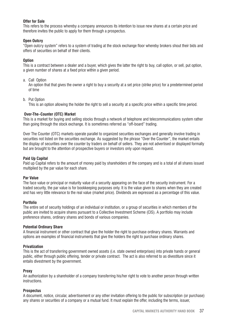#### **Offer for Sale**

This refers to the process whereby a company announces its intention to issue new shares at a certain price and therefore invites the public to apply for them through a prospectus.

#### **Open Outcry**

"Open outcry system" refers to a system of trading at the stock exchange floor whereby brokers shout their bids and offers of securities on behalf of their clients.

#### **Option**

This is a contract between a dealer and a buyer, which gives the latter the right to buy, call option, or sell, put option, a given number of shares at a fixed price within a given period.

a. Call Option

An option that that gives the owner a right to buy a security at a set price (strike price) for a predetermined period of time

b. Put Option

This is an option allowing the holder the right to sell a security at a specific price within a specific time period.

#### **Over-The–Counter (OTC) Market**

This is a market for buying and selling stocks through a network of telephone and telecommunications system rather than going through the stock exchange. It is sometimes referred as "off-board" trading.

Over The Counter (OTC) markets operate parallel to organized securities exchanges and generally involve trading in securities not listed on the securities exchange. As suggested by the phrase "Over the Counter", the market entails the display of securities over the counter by traders on behalf of sellers. They are not advertised or displayed formally but are brought to the attention of prospective buyers or investors only upon request.

#### **Paid Up Capital**

Paid up Capital refers to the amount of money paid by shareholders of the company and is a total of all shares issued multiplied by the par value for each share.

#### **Par Value**

The face value or principal or maturity value of a security appearing on the face of the security instrument. For a traded security, the par value is for bookkeeping purposes only. It is the value given to shares when they are created and has very little relevance to the real value (market price). Dividends are expressed as a percentage of this value.

#### **Portfolio**

The entire set of security holdings of an individual or institution, or a group of securities in which members of the public are invited to acquire shares pursuant to a Collective Investment Scheme (CIS). A portfolio may include preference shares, ordinary shares and bonds of various companies.

#### **Potential Ordinary Share**

A financial instrument or other contract that give the holder the right to purchase ordinary shares. Warrants and options are examples of financial instruments that give the holders the right to purchase ordinary shares.

#### **Privatization**

This is the act of transferring government owned assets (i.e. state owned enterprises) into private hands or general public, either through public offering, tender or private contract. The act is also referred to as divestiture since it entails divestment by the government.

#### **Proxy**

An authorization by a shareholder of a company transferring his/her right to vote to another person through written instructions.

#### **Prospectus**

A document, notice, circular, advertisement or any other invitation offering to the public for subscription (or purchase) any shares or securities of a company or a mutual fund. It must explain the offer, including the terms, issuer,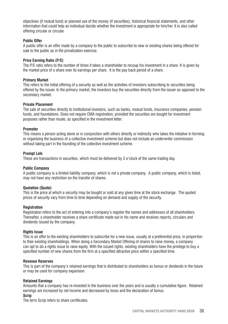objectives (if mutual fund) or planned use of the money (if securities), historical financial statements, and other information that could help an individual decide whether the investment is appropriate for him/her. It is also called offering circular or circular.

#### **Public Offer**

A public offer is an offer made by a company to the public to subscribe to new or existing shares being offered for sale to the public as in the privatization exercise.

#### **Price Earning Ratio (P/E)**

The P/E ratio refers to the number of times it takes a shareholder to recoup his investment in a share. It is given by the market price of a share over its earnings per share. It is the pay back period of a share.

#### **Primary Market**

This refers to the initial offering of a security as well as the activities of investors subscribing to securities being offered by the issuer. In the primary market, the investors buy the securities directly from the issuer as opposed to the secondary market.

#### **Private Placement**

The sale of securities directly to institutional investors, such as banks, mutual funds, insurance companies, pension funds, and foundations. Does not require CMA registration, provided the securities are bought for investment purposes rather than resale, as specified in the investment letter.

#### **Promoter**

This means a person acting alone or in conjunction with others directly or indirectly who takes the initiative in forming or organizing the business of a collective investment scheme but does not include an underwriter commission without taking part in the founding of the collective investment scheme.

#### **Prompt Lots**

These are transactions in securities, which must be delivered by 3 o'clock of the same trading day.

#### **Public Company**

A public company is a limited liability company, which is not a private company. A public company, which is listed, may not have any restriction on the transfer of shares.

#### **Quotation (Quote)**

This is the price at which a security may be bought or sold at any given time at the stock exchange. The quoted prices of security vary from time to time depending on demand and supply of the security.

#### **Registration**

Registration refers to the act of entering into a company's register the names and addresses of all shareholders. Thereafter, a shareholder receives a share certificate made out in his name and receives reports, circulars and dividends issued by the company.

#### **Rights Issue**

This is an offer to the existing shareholders to subscribe for a new issue, usually at a preferential price, in proportion to their existing shareholdings. When doing a Secondary Market Offering of shares to raise money, a company can opt to do a rights issue to raise equity. With the issued rights, existing shareholders have the privilege to buy a specified number of new shares from the firm at a specified attractive price within a specified time.

#### **Revenue Reserves**

This is part of the company's retained earnings that is distributed to shareholders as bonus or dividends in the future or may be used for company expansion.

#### **Retained Earnings**

Amounts that a company has re-invested in the business over the years and is usually a cumulative figure. Retained earnings are increased by net income and decreased by loses and the declaration of bonus.

#### **Scrip**

The term Scrip refers to share certificates.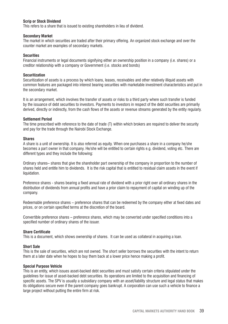#### **Scrip or Stock Dividend**

This refers to a share that is issued to existing shareholders in lieu of dividend.

#### **Secondary Market**

The market in which securities are traded after their primary offering. An organized stock exchange and over the counter market are examples of secondary markets.

#### **Securities**

Financial instruments or legal documents signifying either an ownership position in a company (i.e. shares) or a creditor relationship with a company or Government (i.e. stocks and bonds)

#### **Securitization**

Securitization of assets is a process by which loans, leases, receivables and other relatively illiquid assets with common features are packaged into interest bearing securities with marketable investment characteristics and put in the secondary market.

It is an arrangement, which involves the transfer of assets or risks to a third party where such transfer is funded by the issuance of debt securities to investors. Payments to investors in respect of the debt securities are primarily derived, directly or indirectly, from the cash flows of the assets or revenue streams generated by the entity regularly.

#### **Settlement Period**

The time prescribed with reference to the date of trade (T) within which brokers are required to deliver the security and pay for the trade through the Nairobi Stock Exchange.

#### **Shares**

A share is a unit of ownership. It is also referred as equity. When one purchases a share in a company he/she becomes a part owner in that company. He/she will be entitled to certain rights e.g. dividend, voting etc. There are different types and they include the following:

Ordinary shares– shares that give the shareholder part ownership of the company in proportion to the number of shares held and entitle him to dividends. It is the risk capital that is entitled to residual claim assets in the event if liquidation.

Preference shares - shares bearing a fixed annual rate of dividend with a prior right over all ordinary shares in the distribution of dividends from annual profits and have a prior claim to repayment of capital on winding up of the company.

Redeemable preference shares – preference shares that can be redeemed by the company either at fixed dates and prices, or on certain specified terms at the discretion of the board.

Convertible preference shares – preference shares, which may be converted under specified conditions into a specified number of ordinary shares of the issuer.

#### **Share Certificate**

This is a document, which shows ownership of shares. It can be used as collateral in acquiring a loan.

#### **Short Sale**

This is the sale of securities, which are not owned. The short seller borrows the securities with the intent to return them at a later date when he hopes to buy them back at a lower price hence making a profit.

#### **Special Purpose Vehicle**

This is an entity, which issues asset-backed debt securities and must satisfy certain criteria stipulated under the guidelines for issue of asset-backed debt securities. Its operations are limited to the acquisition and financing of specific assets. The SPV is usually a subsidiary company with an asset/liability structure and legal status that makes its obligations secure even if the parent company goes bankrupt. A corporation can use such a vehicle to finance a large project without putting the entire firm at risk.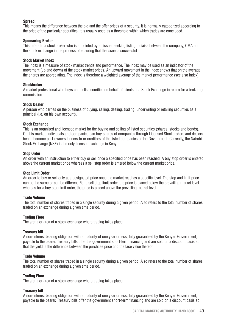#### **Spread**

This means the difference between the bid and the offer prices of a security. It is normally categorized according to the price of the particular securities. It is usually used as a threshold within which trades are concluded.

#### **Sponsoring Broker**

This refers to a stockbroker who is appointed by an issuer seeking listing to liaise between the company, CMA and the stock exchange in the process of ensuring that the issue is successful.

#### **Stock Market Index**

The Index is a measure of stock market trends and performance. The index may be used as an indicator of the movement (up and down) of the stock market prices. An upward movement in the index shows that on the average, the shares are appreciating. The index is therefore a weighted average of the market performance (see also Index).

#### **Stockbroker**

A market professional who buys and sells securities on behalf of clients at a Stock Exchange in return for a brokerage commission.

#### **Stock Dealer**

A person who carries on the business of buying, selling, dealing, trading, underwriting or retailing securities as a principal (i.e. on his own account).

#### **Stock Exchange**

This is an organized and licensed market for the buying and selling of listed securities (shares, stocks and bonds). On this market, individuals and companies can buy shares of companies through Licensed Stockbrokers and dealers hence become part-owners lenders to or creditors of the listed companies or the Government. Currently, the Nairobi Stock Exchange (NSE) is the only licensed exchange in Kenya.

#### **Stop Order**

An order with an instruction to either buy or sell once a specified price has been reached. A buy stop order is entered above the current market price whereas a sell stop order is entered below the current market price.

#### **Stop Limit Order**

An order to buy or sell only at a designated price once the market reaches a specific level. The stop and limit price can be the same or can be different. For a sell stop limit order, the price is placed below the prevailing market level whereas for a buy stop limit order, the price is placed above the prevailing market level.

#### **Trade Volume**

The total number of shares traded in a single security during a given period. Also refers to the total number of shares traded on an exchange during a given time period.

#### **Trading Floor**

The arena or area of a stock exchange where trading takes place.

#### **Treasury bill**

A non-interest bearing obligation with a maturity of one year or less, fully guaranteed by the Kenyan Government, payable to the bearer. Treasury bills offer the government short-term financing and are sold on a discount basis so that the yield is the difference between the purchase price and the face value thereof.

#### **Trade Volume**

The total number of shares traded in a single security during a given period. Also refers to the total number of shares traded on an exchange during a given time period.

#### **Trading Floor**

The arena or area of a stock exchange where trading takes place.

#### **Treasury bill**

A non-interest bearing obligation with a maturity of one year or less, fully guaranteed by the Kenyan Government, payable to the bearer. Treasury bills offer the government short-term financing and are sold on a discount basis so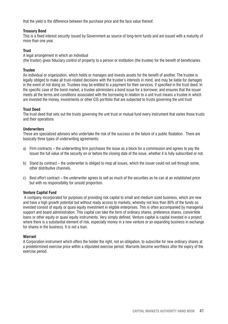that the yield is the difference between the purchase price and the face value thereof.

#### **Treasury Bond**

This is a fixed interest security issued by Government as source of long-term funds and are issued with a maturity of more than one year.

#### **Trust**

A legal arrangement in which an individual (the trustor) gives fiduciary control of property to a person or institution (the trustee) for the benefit of beneficiaries

#### **Trustee**

An individual or organization, which holds or manages and invests assets for the benefit of another. The trustee is legally obliged to make all trust-related decisions with the trustee's interests in mind, and may be liable for damages in the event of not doing so. Trustees may be entitled to a payment for their services, if specified in the trust deed. In the specific case of the bond market, a trustee administers a bond issue for a borrower, and ensures that the issuer meets all the terms and conditions associated with the borrowing In relation to a unit trust means a trustee in which are invested the money, investments or other CIS portfolio that are subjected to trusts governing the unit trust

#### **Trust Deed**

The trust deed that sets out the trusts governing the unit trust or mutual fund every instrument that varies those trusts and their operations

#### **Underwriters**

These are specialized advisers who undertake the risk of the success or the failure of a public floatation. There are basically three types of underwriting agreements:

- a) Firm contracts the underwriting firm purchases the issue as a block for a commission and agrees to pay the issuer the full value of the security on or before the closing date of the issue, whether it is fully subscribed or not.
- b) Stand by contract the underwriter is obliged to mop all issues, which the issuer could not sell through some, other distributive channels.
- c) Best effort contract the underwriter agrees to sell as much of the securities as he can at an established price but with no responsibility for unsold proportion.

#### **Venture Capital Fund**

 A company incorporated for purposes of providing risk capital to small and medium sized business, which are new and have a high growth potential but without ready access to markets, whereby not less than 80% of the funds so invested consist of equity or quasi equity investment in eligible enterprises. This is often accompanied by managerial support and board administration. This capital can take the form of ordinary shares, preference shares, convertible loans or other equity or quasi equity instruments. Very simply defined, Venture capital is capital invested in a project where there is a substantial element of risk, especially money in a new venture or an expanding business in exchange for shares in the business. It is not a loan.

#### **Warrant**

A Corporation instrument which offers the holder the right, not an obligation, to subscribe for new ordinary shares at a predetermined exercise price within a stipulated exercise period. Warrants become worthless after the expiry of the exercise period.